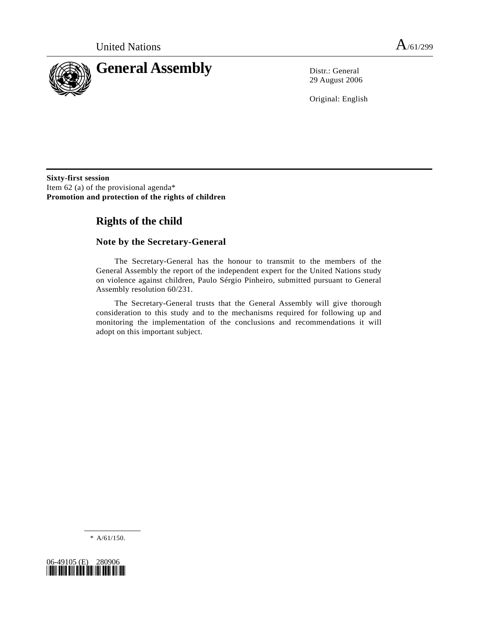

29 August 2006

Original: English

**Sixty-first session**  Item 62 (a) of the provisional agenda\* **Promotion and protection of the rights of children** 

# **Rights of the child**

# **Note by the Secretary-General**

 The Secretary-General has the honour to transmit to the members of the General Assembly the report of the independent expert for the United Nations study on violence against children, Paulo Sérgio Pinheiro, submitted pursuant to General Assembly resolution 60/231.

 The Secretary-General trusts that the General Assembly will give thorough consideration to this study and to the mechanisms required for following up and monitoring the implementation of the conclusions and recommendations it will adopt on this important subject.

\* A/61/150.

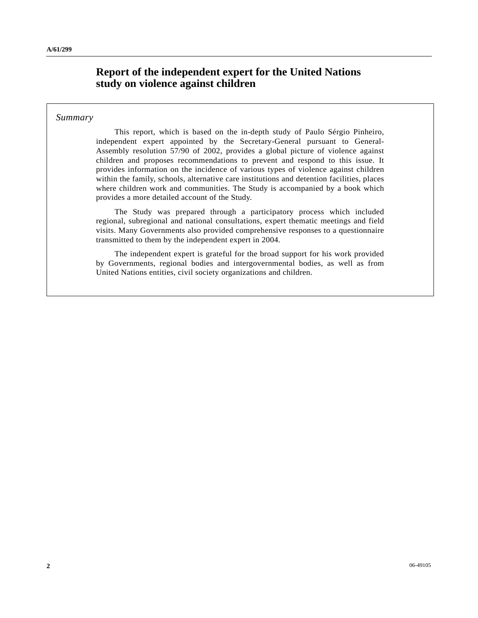# **Report of the independent expert for the United Nations study on violence against children**

### *Summary*

 This report, which is based on the in-depth study of Paulo Sérgio Pinheiro, independent expert appointed by the Secretary-General pursuant to General-Assembly resolution 57/90 of 2002, provides a global picture of violence against children and proposes recommendations to prevent and respond to this issue. It provides information on the incidence of various types of violence against children within the family, schools, alternative care institutions and detention facilities, places where children work and communities. The Study is accompanied by a book which provides a more detailed account of the Study.

 The Study was prepared through a participatory process which included regional, subregional and national consultations, expert thematic meetings and field visits. Many Governments also provided comprehensive responses to a questionnaire transmitted to them by the independent expert in 2004.

 The independent expert is grateful for the broad support for his work provided by Governments, regional bodies and intergovernmental bodies, as well as from United Nations entities, civil society organizations and children.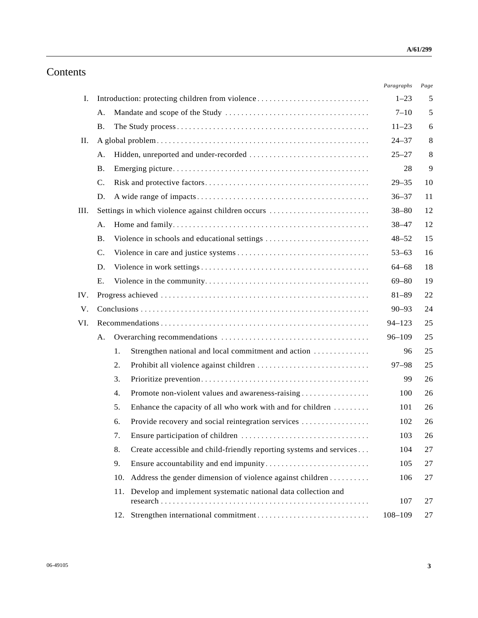# Contents

|      |                                                 |     |                                                                     | Paragraphs  | Page |
|------|-------------------------------------------------|-----|---------------------------------------------------------------------|-------------|------|
| I.   | Introduction: protecting children from violence |     |                                                                     | $1 - 23$    | 5    |
|      | А.                                              |     |                                                                     | $7 - 10$    | 5    |
|      | <b>B.</b>                                       |     |                                                                     | $11 - 23$   | 6    |
| П.   |                                                 |     |                                                                     | $24 - 37$   | 8    |
|      | А.                                              |     |                                                                     | $25 - 27$   | 8    |
|      | <b>B.</b>                                       |     | 28                                                                  | 9           |      |
|      | $\mathcal{C}$ .                                 |     |                                                                     | $29 - 35$   | 10   |
|      | D.                                              |     |                                                                     | $36 - 37$   | 11   |
| III. |                                                 |     | Settings in which violence against children occurs                  | $38 - 80$   | 12   |
|      | А.                                              |     |                                                                     | $38 - 47$   | 12   |
|      | <b>B.</b>                                       |     | Violence in schools and educational settings                        | $48 - 52$   | 15   |
|      | $\mathbf{C}$ .                                  |     |                                                                     | $53 - 63$   | 16   |
|      | D.                                              |     |                                                                     | $64 - 68$   | 18   |
|      | Ε.                                              |     |                                                                     | $69 - 80$   | 19   |
| IV.  |                                                 |     |                                                                     | $81 - 89$   | 22   |
| V.   |                                                 |     |                                                                     |             | 24   |
| VI.  |                                                 |     |                                                                     |             | 25   |
|      | А.                                              |     |                                                                     |             | 25   |
|      |                                                 | 1.  | Strengthen national and local commitment and action                 | 96          | 25   |
|      |                                                 | 2.  |                                                                     | $97 - 98$   | 25   |
|      |                                                 | 3.  |                                                                     | 99          | 26   |
|      |                                                 | 4.  | Promote non-violent values and awareness-raising                    | 100         | 26   |
|      |                                                 | 5.  | Enhance the capacity of all who work with and for children          | 101         | 26   |
|      |                                                 | 6.  | Provide recovery and social reintegration services                  | 102         | 26   |
|      |                                                 | 7.  |                                                                     | 103         | 26   |
|      |                                                 | 8.  | Create accessible and child-friendly reporting systems and services | 104         | 27   |
|      |                                                 | 9.  |                                                                     | 105         | 27   |
|      |                                                 | 10. | Address the gender dimension of violence against children           | 106         | 27   |
|      |                                                 | 11. | Develop and implement systematic national data collection and       | 107         | 27   |
|      |                                                 | 12. |                                                                     | $108 - 109$ | 27   |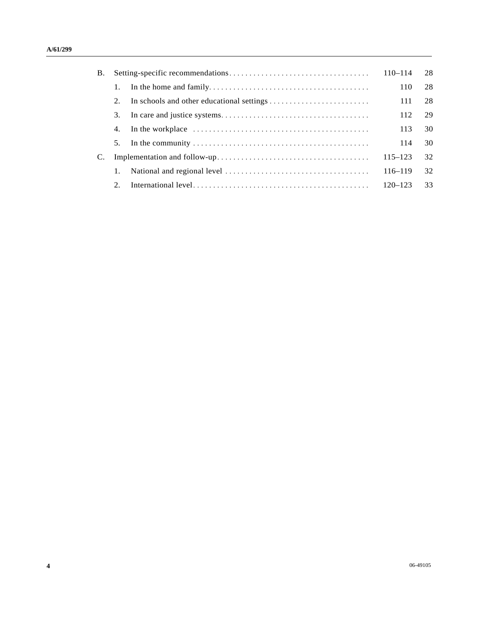| <b>B.</b> |    |                                                                                                        | $110 - 114$ | 28 |
|-----------|----|--------------------------------------------------------------------------------------------------------|-------------|----|
|           | 1. |                                                                                                        | 110         | 28 |
|           | 2. |                                                                                                        | 111         | 28 |
|           | 3. |                                                                                                        | 112         | 29 |
|           | 4. | In the workplace $\dots \dots \dots \dots \dots \dots \dots \dots \dots \dots \dots \dots \dots \dots$ | 113         | 30 |
|           | 5. |                                                                                                        | 114         | 30 |
|           |    |                                                                                                        | $115 - 123$ | 32 |
|           | 1. |                                                                                                        | $116 - 119$ | 32 |
|           | 2. |                                                                                                        | $120 - 123$ | 33 |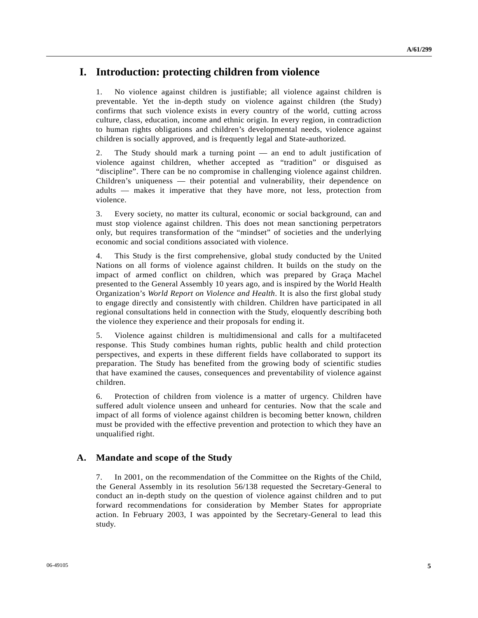# **I. Introduction: protecting children from violence**

1. No violence against children is justifiable; all violence against children is preventable. Yet the in-depth study on violence against children (the Study) confirms that such violence exists in every country of the world, cutting across culture, class, education, income and ethnic origin. In every region, in contradiction to human rights obligations and children's developmental needs, violence against children is socially approved, and is frequently legal and State-authorized.

2. The Study should mark a turning point — an end to adult justification of violence against children, whether accepted as "tradition" or disguised as "discipline". There can be no compromise in challenging violence against children. Children's uniqueness — their potential and vulnerability, their dependence on adults — makes it imperative that they have more, not less, protection from violence.

3. Every society, no matter its cultural, economic or social background, can and must stop violence against children. This does not mean sanctioning perpetrators only, but requires transformation of the "mindset" of societies and the underlying economic and social conditions associated with violence.

4. This Study is the first comprehensive, global study conducted by the United Nations on all forms of violence against children. It builds on the study on the impact of armed conflict on children, which was prepared by Graça Machel presented to the General Assembly 10 years ago, and is inspired by the World Health Organization's *World Report on Violence and Health*. It is also the first global study to engage directly and consistently with children. Children have participated in all regional consultations held in connection with the Study, eloquently describing both the violence they experience and their proposals for ending it.

5. Violence against children is multidimensional and calls for a multifaceted response. This Study combines human rights, public health and child protection perspectives, and experts in these different fields have collaborated to support its preparation. The Study has benefited from the growing body of scientific studies that have examined the causes, consequences and preventability of violence against children.

6. Protection of children from violence is a matter of urgency. Children have suffered adult violence unseen and unheard for centuries. Now that the scale and impact of all forms of violence against children is becoming better known, children must be provided with the effective prevention and protection to which they have an unqualified right.

### **A. Mandate and scope of the Study**

7. In 2001, on the recommendation of the Committee on the Rights of the Child, the General Assembly in its resolution 56/138 requested the Secretary-General to conduct an in-depth study on the question of violence against children and to put forward recommendations for consideration by Member States for appropriate action. In February 2003, I was appointed by the Secretary-General to lead this study.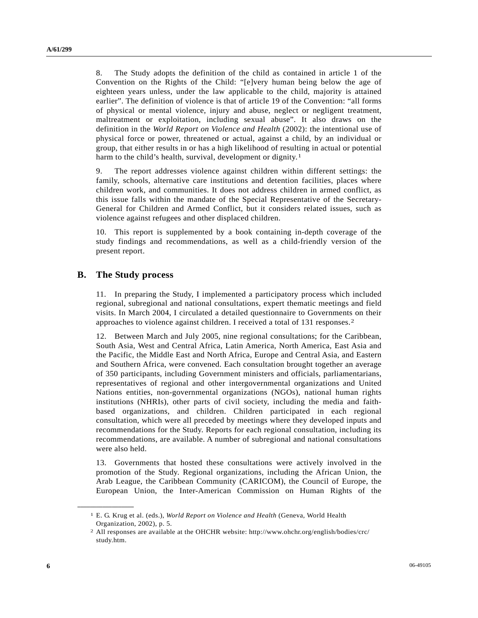8. The Study adopts the definition of the child as contained in article 1 of the Convention on the Rights of the Child: "[e]very human being below the age of eighteen years unless, under the law applicable to the child, majority is attained earlier". The definition of violence is that of article 19 of the Convention: "all forms of physical or mental violence, injury and abuse, neglect or negligent treatment, maltreatment or exploitation, including sexual abuse". It also draws on the definition in the *World Report on Violence and Health* (2002): the intentional use of physical force or power, threatened or actual, against a child, by an individual or group, that either results in or has a high likelihood of resulting in actual or potential harm to the child's health, survival, development or dignity.<sup>[1](#page-5-0)</sup>

9. The report addresses violence against children within different settings: the family, schools, alternative care institutions and detention facilities, places where children work, and communities. It does not address children in armed conflict, as this issue falls within the mandate of the Special Representative of the Secretary-General for Children and Armed Conflict, but it considers related issues, such as violence against refugees and other displaced children.

10. This report is supplemented by a book containing in-depth coverage of the study findings and recommendations, as well as a child-friendly version of the present report.

## **B. The Study process**

<span id="page-5-1"></span><span id="page-5-0"></span>**\_\_\_\_\_\_\_\_\_\_\_\_\_\_\_\_\_\_** 

11. In preparing the Study, I implemented a participatory process which included regional, subregional and national consultations, expert thematic meetings and field visits. In March 2004, I circulated a detailed questionnaire to Governments on their approaches to violence against children. I received a total of 131 responses.[2](#page-5-1)

12. Between March and July 2005, nine regional consultations; for the Caribbean, South Asia, West and Central Africa, Latin America, North America, East Asia and the Pacific, the Middle East and North Africa, Europe and Central Asia, and Eastern and Southern Africa, were convened. Each consultation brought together an average of 350 participants, including Government ministers and officials, parliamentarians, representatives of regional and other intergovernmental organizations and United Nations entities, non-governmental organizations (NGOs), national human rights institutions (NHRIs), other parts of civil society, including the media and faithbased organizations, and children. Children participated in each regional consultation, which were all preceded by meetings where they developed inputs and recommendations for the Study. Reports for each regional consultation, including its recommendations, are available. A number of subregional and national consultations were also held.

13. Governments that hosted these consultations were actively involved in the promotion of the Study. Regional organizations, including the African Union, the Arab League, the Caribbean Community (CARICOM), the Council of Europe, the European Union, the Inter-American Commission on Human Rights of the

<sup>1</sup> E. G. Krug et al. (eds.), *World Report on Violence and Health* (Geneva, World Health Organization, 2002), p. 5.

<sup>2</sup> All responses are available at the OHCHR website: http://www.ohchr.org/english/bodies/crc/ study.htm.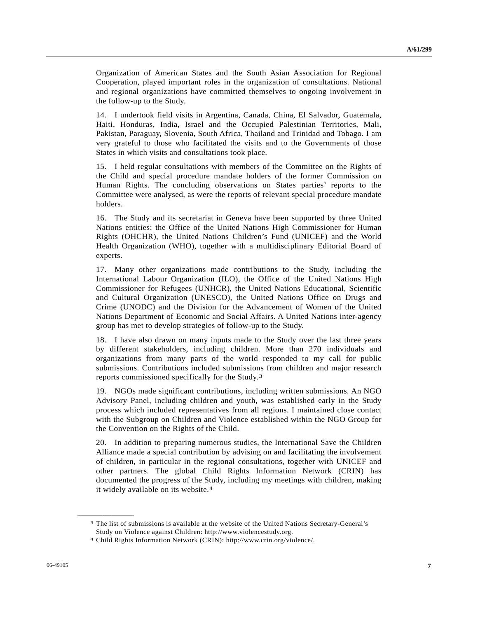Organization of American States and the South Asian Association for Regional Cooperation, played important roles in the organization of consultations. National and regional organizations have committed themselves to ongoing involvement in the follow-up to the Study.

14. I undertook field visits in Argentina, Canada, China, El Salvador, Guatemala, Haiti, Honduras, India, Israel and the Occupied Palestinian Territories, Mali, Pakistan, Paraguay, Slovenia, South Africa, Thailand and Trinidad and Tobago. I am very grateful to those who facilitated the visits and to the Governments of those States in which visits and consultations took place.

15. I held regular consultations with members of the Committee on the Rights of the Child and special procedure mandate holders of the former Commission on Human Rights. The concluding observations on States parties' reports to the Committee were analysed, as were the reports of relevant special procedure mandate holders.

16. The Study and its secretariat in Geneva have been supported by three United Nations entities: the Office of the United Nations High Commissioner for Human Rights (OHCHR), the United Nations Children's Fund (UNICEF) and the World Health Organization (WHO), together with a multidisciplinary Editorial Board of experts.

17. Many other organizations made contributions to the Study, including the International Labour Organization (ILO), the Office of the United Nations High Commissioner for Refugees (UNHCR), the United Nations Educational, Scientific and Cultural Organization (UNESCO), the United Nations Office on Drugs and Crime (UNODC) and the Division for the Advancement of Women of the United Nations Department of Economic and Social Affairs. A United Nations inter-agency group has met to develop strategies of follow-up to the Study.

18. I have also drawn on many inputs made to the Study over the last three years by different stakeholders, including children. More than 270 individuals and organizations from many parts of the world responded to my call for public submissions. Contributions included submissions from children and major research reports commissioned specifically for the Study.[3](#page-6-0)

19. NGOs made significant contributions, including written submissions. An NGO Advisory Panel, including children and youth, was established early in the Study process which included representatives from all regions. I maintained close contact with the Subgroup on Children and Violence established within the NGO Group for the Convention on the Rights of the Child.

20. In addition to preparing numerous studies, the International Save the Children Alliance made a special contribution by advising on and facilitating the involvement of children, in particular in the regional consultations, together with UNICEF and other partners. The global Child Rights Information Network (CRIN) has documented the progress of the Study, including my meetings with children, making it widely available on its website.[4](#page-6-1)

<span id="page-6-0"></span><sup>3</sup> The list of submissions is available at the website of the United Nations Secretary-General's Study on Violence against Children: http://www.violencestudy.org.

<span id="page-6-1"></span><sup>4</sup> Child Rights Information Network (CRIN): http://www.crin.org/violence/.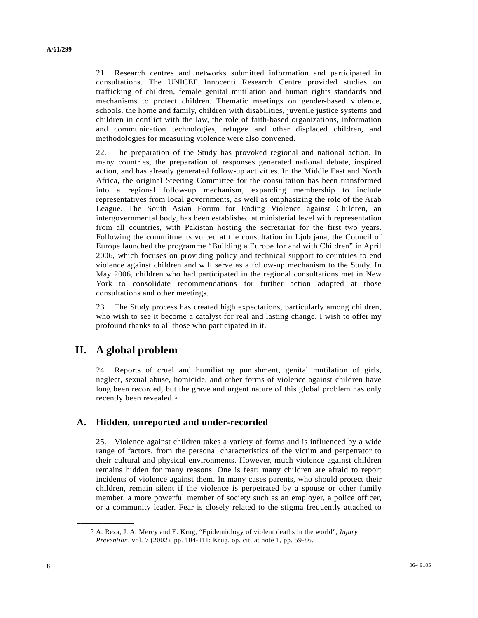21. Research centres and networks submitted information and participated in consultations. The UNICEF Innocenti Research Centre provided studies on trafficking of children, female genital mutilation and human rights standards and mechanisms to protect children. Thematic meetings on gender-based violence, schools, the home and family, children with disabilities, juvenile justice systems and children in conflict with the law, the role of faith-based organizations, information and communication technologies, refugee and other displaced children, and methodologies for measuring violence were also convened.

22. The preparation of the Study has provoked regional and national action. In many countries, the preparation of responses generated national debate, inspired action, and has already generated follow-up activities. In the Middle East and North Africa, the original Steering Committee for the consultation has been transformed into a regional follow-up mechanism, expanding membership to include representatives from local governments, as well as emphasizing the role of the Arab League. The South Asian Forum for Ending Violence against Children, an intergovernmental body, has been established at ministerial level with representation from all countries, with Pakistan hosting the secretariat for the first two years. Following the commitments voiced at the consultation in Ljubljana, the Council of Europe launched the programme "Building a Europe for and with Children" in April 2006, which focuses on providing policy and technical support to countries to end violence against children and will serve as a follow-up mechanism to the Study. In May 2006, children who had participated in the regional consultations met in New York to consolidate recommendations for further action adopted at those consultations and other meetings.

23. The Study process has created high expectations, particularly among children, who wish to see it become a catalyst for real and lasting change. I wish to offer my profound thanks to all those who participated in it.

# **II. A global problem**

<span id="page-7-0"></span>**\_\_\_\_\_\_\_\_\_\_\_\_\_\_\_\_\_\_** 

24. Reports of cruel and humiliating punishment, genital mutilation of girls, neglect, sexual abuse, homicide, and other forms of violence against children have long been recorded, but the grave and urgent nature of this global problem has only recently been revealed.[5](#page-7-0)

## **A. Hidden, unreported and under-recorded**

25. Violence against children takes a variety of forms and is influenced by a wide range of factors, from the personal characteristics of the victim and perpetrator to their cultural and physical environments. However, much violence against children remains hidden for many reasons. One is fear: many children are afraid to report incidents of violence against them. In many cases parents, who should protect their children, remain silent if the violence is perpetrated by a spouse or other family member, a more powerful member of society such as an employer, a police officer, or a community leader. Fear is closely related to the stigma frequently attached to

<sup>5</sup> A. Reza, J. A. Mercy and E. Krug, "Epidemiology of violent deaths in the world", *Injury Prevention*, vol. 7 (2002), pp. 104-111; Krug, op. cit. at note 1, pp. 59-86.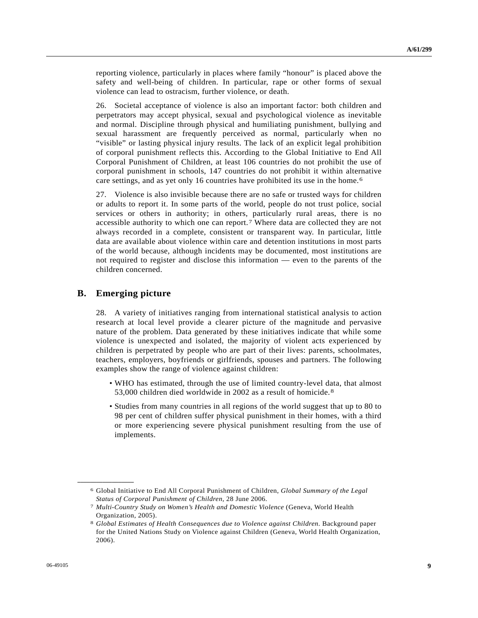reporting violence, particularly in places where family "honour" is placed above the safety and well-being of children. In particular, rape or other forms of sexual violence can lead to ostracism, further violence, or death.

26. Societal acceptance of violence is also an important factor: both children and perpetrators may accept physical, sexual and psychological violence as inevitable and normal. Discipline through physical and humiliating punishment, bullying and sexual harassment are frequently perceived as normal, particularly when no "visible" or lasting physical injury results. The lack of an explicit legal prohibition of corporal punishment reflects this. According to the Global Initiative to End All Corporal Punishment of Children, at least 106 countries do not prohibit the use of corporal punishment in schools, 147 countries do not prohibit it within alternative care settings, and as yet only 16 countries have prohibited its use in the home.[6](#page-8-0) 

27. Violence is also invisible because there are no safe or trusted ways for children or adults to report it. In some parts of the world, people do not trust police, social services or others in authority; in others, particularly rural areas, there is no accessible authority to which one can report.[7](#page-8-1) Where data are collected they are not always recorded in a complete, consistent or transparent way. In particular, little data are available about violence within care and detention institutions in most parts of the world because, although incidents may be documented, most institutions are not required to register and disclose this information — even to the parents of the children concerned.

### **B. Emerging picture**

<span id="page-8-2"></span><span id="page-8-1"></span><span id="page-8-0"></span>**\_\_\_\_\_\_\_\_\_\_\_\_\_\_\_\_\_\_** 

28. A variety of initiatives ranging from international statistical analysis to action research at local level provide a clearer picture of the magnitude and pervasive nature of the problem. Data generated by these initiatives indicate that while some violence is unexpected and isolated, the majority of violent acts experienced by children is perpetrated by people who are part of their lives: parents, schoolmates, teachers, employers, boyfriends or girlfriends, spouses and partners. The following examples show the range of violence against children:

- WHO has estimated, through the use of limited country-level data, that almost 53,000 children died worldwide in 2002 as a result of homicide.[8](#page-8-2)
- Studies from many countries in all regions of the world suggest that up to 80 to 98 per cent of children suffer physical punishment in their homes, with a third or more experiencing severe physical punishment resulting from the use of implements.

<sup>6</sup> Global Initiative to End All Corporal Punishment of Children, *Global Summary of the Legal Status of Corporal Punishment of Children*, 28 June 2006. 7 *Multi-Country Study on Women's Health and Domestic Violence* (Geneva, World Health

Organization, 2005).

<sup>8</sup> *Global Estimates of Health Consequences due to Violence against Children*. Background paper for the United Nations Study on Violence against Children (Geneva, World Health Organization, 2006).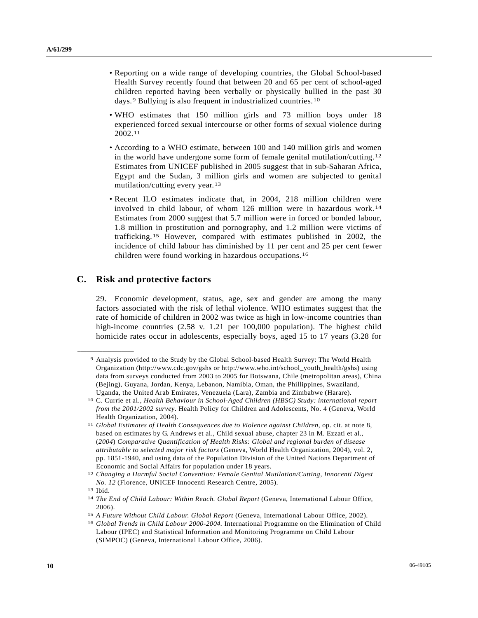- Reporting on a wide range of developing countries, the Global School-based Health Survey recently found that between 20 and 65 per cent of school-aged children reported having been verbally or physically bullied in the past 30 days.[9](#page-9-0) Bullying is also frequent in industrialized countries.[10](#page-9-1)
- WHO estimates that 150 million girls and 73 million boys under 18 experienced forced sexual intercourse or other forms of sexual violence during 2002.[11](#page-9-2)
- According to a WHO estimate, between 100 and 140 million girls and women in the world have undergone some form of female genital mutilation/cutting.[12](#page-9-3) Estimates from UNICEF published in 2005 suggest that in sub-Saharan Africa, Egypt and the Sudan, 3 million girls and women are subjected to genital mutilation/cutting every year.[13](#page-9-4)
- Recent ILO estimates indicate that, in 2004, 218 million children were involved in child labour, of whom 126 million were in hazardous work.[14](#page-9-5) Estimates from 2000 suggest that 5.7 million were in forced or bonded labour, 1.8 million in prostitution and pornography, and 1.2 million were victims of trafficking.[15](#page-9-6) However, compared with estimates published in 2002, the incidence of child labour has diminished by 11 per cent and 25 per cent fewer children were found working in hazardous occupations.[1](#page-9-7)6

## **C. Risk and protective factors**

29. Economic development, status, age, sex and gender are among the many factors associated with the risk of lethal violence. WHO estimates suggest that the rate of homicide of children in 2002 was twice as high in low-income countries than high-income countries (2.58 v. 1.21 per 100,000 population). The highest child homicide rates occur in adolescents, especially boys, aged 15 to 17 years (3.28 for

<span id="page-9-0"></span><sup>9</sup> Analysis provided to the Study by the Global School-based Health Survey: The World Health Organization (http://www.cdc.gov/gshs or http://www.who.int/school\_youth\_health/gshs) using data from surveys conducted from 2003 to 2005 for Botswana, Chile (metropolitan areas), China (Bejing), Guyana, Jordan, Kenya, Lebanon, Namibia, Oman, the Phillippines, Swaziland, Uganda, the United Arab Emirates, Venezuela (Lara), Zambia and Zimbabwe (Harare).

<span id="page-9-1"></span><sup>10</sup> C. Currie et al., *Health Behaviour in School-Aged Children (HBSC) Study: international report from the 2001/2002 survey*. Health Policy for Children and Adolescents, No. 4 (Geneva, World Health Organization, 2004).

<span id="page-9-2"></span><sup>11</sup> *Global Estimates of Health Consequences due to Violence against Children*, op. cit. at note 8, based on estimates by G. Andrews et al., Child sexual abuse, chapter 23 in M. Ezzati et al., (*2004*) *Comparative Quantification of Health Risks: Global and regional burden of disease attributable to selected major risk factors* (Geneva, World Health Organization, 2004), vol. 2, pp. 1851-1940, and using data of the Population Division of the United Nations Department of Economic and Social Affairs for population under 18 years.

<span id="page-9-3"></span><sup>12</sup> *Changing a Harmful Social Convention: Female Genital Mutilation/Cutting, Innocenti Digest No. 12* (Florence, UNICEF Innocenti Research Centre, 2005). 13 Ibid.

<span id="page-9-4"></span>

<span id="page-9-5"></span><sup>&</sup>lt;sup>14</sup> The End of Child Labour: Within Reach. Global Report (Geneva, International Labour Office, 2006).

<span id="page-9-6"></span><sup>15</sup>*A Future Without Child Labour. Global Report* (Geneva, International Labour Office, 2002). 16 *Global Trends in Child Labour 2000-2004.* International Programme on the Elimination of Child

<span id="page-9-7"></span>Labour (IPEC) and Statistical Information and Monitoring Programme on Child Labour (SIMPOC) (Geneva, International Labour Office, 2006).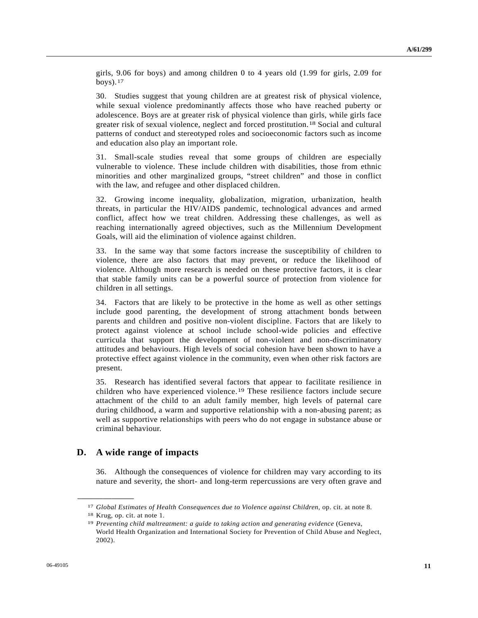girls, 9.06 for boys) and among children 0 to 4 years old (1.99 for girls, 2.09 for boys). $17$  $17$ 

30. Studies suggest that young children are at greatest risk of physical violence, while sexual violence predominantly affects those who have reached puberty or adolescence. Boys are at greater risk of physical violence than girls, while girls face greater risk of sexual violence, neglect and forced prostitution.[1](#page-10-1)8 Social and cultural patterns of conduct and stereotyped roles and socioeconomic factors such as income and education also play an important role.

31. Small-scale studies reveal that some groups of children are especially vulnerable to violence. These include children with disabilities, those from ethnic minorities and other marginalized groups, "street children" and those in conflict with the law, and refugee and other displaced children.

32. Growing income inequality, globalization, migration, urbanization, health threats, in particular the HIV/AIDS pandemic, technological advances and armed conflict, affect how we treat children. Addressing these challenges, as well as reaching internationally agreed objectives, such as the Millennium Development Goals, will aid the elimination of violence against children.

33. In the same way that some factors increase the susceptibility of children to violence, there are also factors that may prevent, or reduce the likelihood of violence. Although more research is needed on these protective factors, it is clear that stable family units can be a powerful source of protection from violence for children in all settings.

34. Factors that are likely to be protective in the home as well as other settings include good parenting, the development of strong attachment bonds between parents and children and positive non-violent discipline. Factors that are likely to protect against violence at school include school-wide policies and effective curricula that support the development of non-violent and non-discriminatory attitudes and behaviours. High levels of social cohesion have been shown to have a protective effect against violence in the community, even when other risk factors are present.

35. Research has identified several factors that appear to facilitate resilience in children who have experienced violence.[19](#page-10-2) These resilience factors include secure attachment of the child to an adult family member, high levels of paternal care during childhood, a warm and supportive relationship with a non-abusing parent; as well as supportive relationships with peers who do not engage in substance abuse or criminal behaviour.

## **D. A wide range of impacts**

36. Although the consequences of violence for children may vary according to its nature and severity, the short- and long-term repercussions are very often grave and

<span id="page-10-0"></span><sup>17</sup>*Global Estimates of Health Consequences due to Violence against Children*, op. cit. at note 8. 18 Krug, op. cit. at note 1.

<span id="page-10-1"></span>

<span id="page-10-2"></span><sup>19</sup> *Preventing child maltreatment: a guide to taking action and generating evidence* (Geneva, World Health Organization and International Society for Prevention of Child Abuse and Neglect, 2002).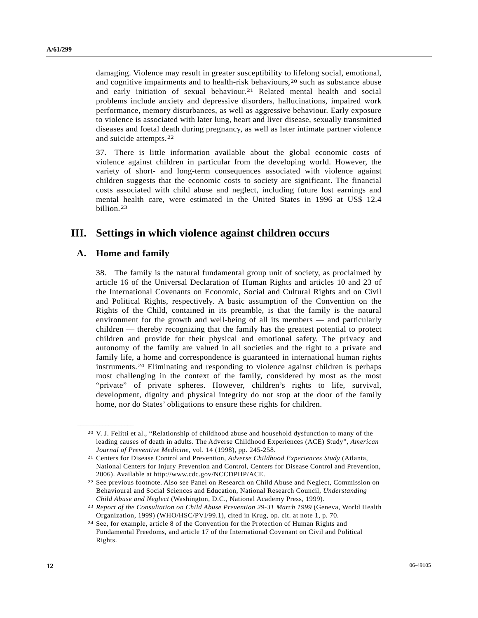damaging. Violence may result in greater susceptibility to lifelong social, emotional, and cognitive impairments and to health-risk behaviours,[20](#page-11-0) such as substance abuse and early initiation of sexual behaviour.[21](#page-11-1) Related mental health and social problems include anxiety and depressive disorders, hallucinations, impaired work performance, memory disturbances, as well as aggressive behaviour. Early exposure to violence is associated with later lung, heart and liver disease, sexually transmitted diseases and foetal death during pregnancy, as well as later intimate partner violence and suicide attempts.[22](#page-11-2)

37. There is little information available about the global economic costs of violence against children in particular from the developing world. However, the variety of short- and long-term consequences associated with violence against children suggests that the economic costs to society are significant. The financial costs associated with child abuse and neglect, including future lost earnings and mental health care, were estimated in the United States in 1996 at US\$ 12.4 billion.[23](#page-11-3)

# **III. Settings in which violence against children occurs**

## **A. Home and family**

<span id="page-11-1"></span><span id="page-11-0"></span>**\_\_\_\_\_\_\_\_\_\_\_\_\_\_\_\_\_\_** 

38. The family is the natural fundamental group unit of society, as proclaimed by article 16 of the Universal Declaration of Human Rights and articles 10 and 23 of the International Covenants on Economic, Social and Cultural Rights and on Civil and Political Rights, respectively. A basic assumption of the Convention on the Rights of the Child, contained in its preamble, is that the family is the natural environment for the growth and well-being of all its members — and particularly children — thereby recognizing that the family has the greatest potential to protect children and provide for their physical and emotional safety. The privacy and autonomy of the family are valued in all societies and the right to a private and family life, a home and correspondence is guaranteed in international human rights instruments.[24](#page-11-4) Eliminating and responding to violence against children is perhaps most challenging in the context of the family, considered by most as the most "private" of private spheres. However, children's rights to life, survival, development, dignity and physical integrity do not stop at the door of the family home, nor do States' obligations to ensure these rights for children.

<sup>20</sup> V. J. Felitti et al., "Relationship of childhood abuse and household dysfunction to many of the leading causes of death in adults. The Adverse Childhood Experiences (ACE) Study", *American Journal of Preventive Medicine*, vol. 14 (1998), pp. 245-258. 21 Centers for Disease Control and Prevention, *Adverse Childhood Experiences Study* (Atlanta,

National Centers for Injury Prevention and Control, Centers for Disease Control and Prevention, 2006). Available at http://www.cdc.gov/NCCDPHP/ACE.

<span id="page-11-2"></span><sup>22</sup> See previous footnote. Also see Panel on Research on Child Abuse and Neglect, Commission on Behavioural and Social Sciences and Education, National Research Council, *Understanding Child Abuse and Neglect* (Washington, D.C., National Academy Press, 1999). 23 *Report of the Consultation on Child Abuse Prevention 29-31 March 1999* (Geneva, World Health

<span id="page-11-3"></span>Organization, 1999) (WHO/HSC/PVI/99.1), cited in Krug, op. cit. at note 1, p. 70.

<span id="page-11-4"></span><sup>24</sup> See, for example, article 8 of the Convention for the Protection of Human Rights and Fundamental Freedoms, and article 17 of the International Covenant on Civil and Political Rights.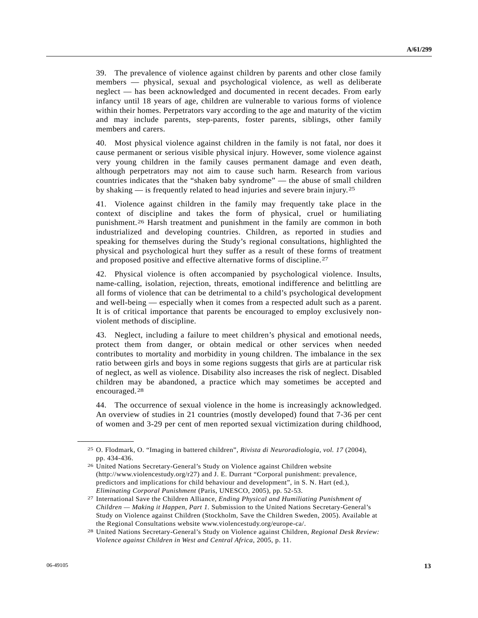39. The prevalence of violence against children by parents and other close family members — physical, sexual and psychological violence, as well as deliberate neglect — has been acknowledged and documented in recent decades. From early infancy until 18 years of age, children are vulnerable to various forms of violence within their homes. Perpetrators vary according to the age and maturity of the victim and may include parents, step-parents, foster parents, siblings, other family members and carers.

40. Most physical violence against children in the family is not fatal, nor does it cause permanent or serious visible physical injury. However, some violence against very young children in the family causes permanent damage and even death, although perpetrators may not aim to cause such harm. Research from various countries indicates that the "shaken baby syndrome" — the abuse of small children by shaking — is frequently related to head injuries and severe brain injury.[25](#page-12-0)

41. Violence against children in the family may frequently take place in the context of discipline and takes the form of physical, cruel or humiliating punishment.[26](#page-12-1) Harsh treatment and punishment in the family are common in both industrialized and developing countries. Children, as reported in studies and speaking for themselves during the Study's regional consultations, highlighted the physical and psychological hurt they suffer as a result of these forms of treatment and proposed positive and effective alternative forms of discipline.[27](#page-12-2)

42. Physical violence is often accompanied by psychological violence. Insults, name-calling, isolation, rejection, threats, emotional indifference and belittling are all forms of violence that can be detrimental to a child's psychological development and well-being — especially when it comes from a respected adult such as a parent. It is of critical importance that parents be encouraged to employ exclusively nonviolent methods of discipline.

43. Neglect, including a failure to meet children's physical and emotional needs, protect them from danger, or obtain medical or other services when needed contributes to mortality and morbidity in young children. The imbalance in the sex ratio between girls and boys in some regions suggests that girls are at particular risk of neglect, as well as violence. Disability also increases the risk of neglect. Disabled children may be abandoned, a practice which may sometimes be accepted and encouraged.[28](#page-12-3)

44. The occurrence of sexual violence in the home is increasingly acknowledged. An overview of studies in 21 countries (mostly developed) found that 7-36 per cent of women and 3-29 per cent of men reported sexual victimization during childhood,

<span id="page-12-0"></span><sup>25</sup> O. Flodmark, O. "Imaging in battered children", *Rivista di Neuroradiologia, vol. 17* (2004), pp. 434-436.

<span id="page-12-1"></span><sup>26</sup> United Nations Secretary-General's Study on Violence against Children website (http://www.violencestudy.org/r27) and J. E. Durrant "Corporal punishment: prevalence, predictors and implications for child behaviour and development", in S. N. Hart (ed.),

<span id="page-12-2"></span>*Eliminating Corporal Punishment* (Paris, UNESCO, 2005), pp. 52-53. 27 International Save the Children Alliance, *Ending Physical and Humiliating Punishment of Children — Making it Happen, Part 1.* Submission to the United Nations Secretary-General's Study on Violence against Children (Stockholm, Save the Children Sweden, 2005). Available at the Regional Consultations website www.violencestudy.org/europe-ca/.

<span id="page-12-3"></span><sup>28</sup> United Nations Secretary-General's Study on Violence against Children, *Regional Desk Review: Violence against Children in West and Central Africa*, 2005, p. 11.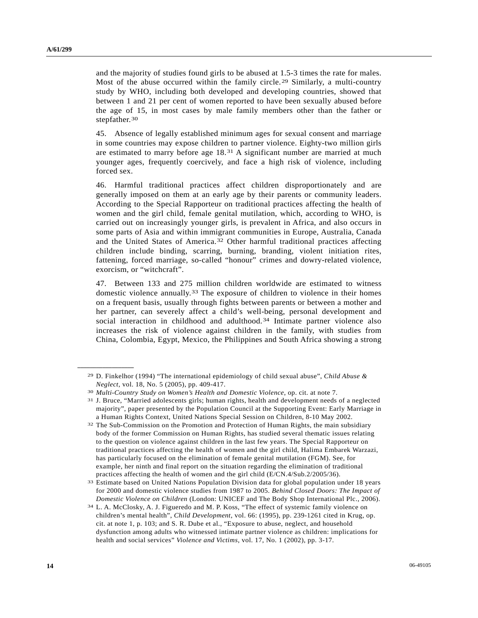and the majority of studies found girls to be abused at 1.5-3 times the rate for males. Most of the abuse occurred within the family circle.<sup>[2](#page-13-0)9</sup> Similarly, a multi-country study by WHO, including both developed and developing countries, showed that between 1 and 21 per cent of women reported to have been sexually abused before the age of 15, in most cases by male family members other than the father or stepfather.<sup>[30](#page-13-1)</sup>

45. Absence of legally established minimum ages for sexual consent and marriage in some countries may expose children to partner violence. Eighty-two million girls are estimated to marry before age 18.[3](#page-13-2)1 A significant number are married at much younger ages, frequently coercively, and face a high risk of violence, including forced sex.

46. Harmful traditional practices affect children disproportionately and are generally imposed on them at an early age by their parents or community leaders. According to the Special Rapporteur on traditional practices affecting the health of women and the girl child, female genital mutilation, which, according to WHO, is carried out on increasingly younger girls, is prevalent in Africa, and also occurs in some parts of Asia and within immigrant communities in Europe, Australia, Canada and the United States of America.[3](#page-13-3)2 Other harmful traditional practices affecting children include binding, scarring, burning, branding, violent initiation rites, fattening, forced marriage, so-called "honour" crimes and dowry-related violence, exorcism, or "witchcraft".

47. Between 133 and 275 million children worldwide are estimated to witness domestic violence annually.[33](#page-13-4) The exposure of children to violence in their homes on a frequent basis, usually through fights between parents or between a mother and her partner, can severely affect a child's well-being, personal development and social interaction in childhood and adulthood.<sup>[3](#page-13-5)4</sup> Intimate partner violence also increases the risk of violence against children in the family, with studies from China, Colombia, Egypt, Mexico, the Philippines and South Africa showing a strong

<span id="page-13-0"></span><sup>29</sup> D. Finkelhor (1994) "The international epidemiology of child sexual abuse", *Child Abuse & Neglect*, vol. 18, No. 5 (2005), pp. 409-417.<br><sup>30</sup> *Multi-Country Study on Women's Health and Domestic Violence*, op. cit. at note 7.<br><sup>31</sup> J. Bruce, "Married adolescents girls; human rights, health and development needs o

<span id="page-13-2"></span><span id="page-13-1"></span>

majority", paper presented by the Population Council at the Supporting Event: Early Marriage in a Human Rights Context, United Nations Special Session on Children, 8-10 May 2002.

<span id="page-13-3"></span><sup>32</sup> The Sub-Commission on the Promotion and Protection of Human Rights, the main subsidiary body of the former Commission on Human Rights, has studied several thematic issues relating to the question on violence against children in the last few years. The Special Rapporteur on traditional practices affecting the health of women and the girl child, Halima Embarek Warzazi, has particularly focused on the elimination of female genital mutilation (FGM). See, for example, her ninth and final report on the situation regarding the elimination of traditional practices affecting the health of women and the girl child (E/CN.4/Sub.2/2005/36).

<span id="page-13-4"></span><sup>33</sup> Estimate based on United Nations Population Division data for global population under 18 years for 2000 and domestic violence studies from 1987 to 2005. *Behind Closed Doors: The Impact of Domestic Violence on Children* (London: UNICEF and The Body Shop International Plc., 2006). <sup>34</sup> L. A. McClosky, A. J. Figueredo and M. P. Koss, "The effect of systemic family violence on

<span id="page-13-5"></span>children's mental health", *Child Development*, vol. 66: (1995), pp. 239-1261 cited in Krug, op. cit. at note 1, p. 103; and S. R. Dube et al., "Exposure to abuse, neglect, and household dysfunction among adults who witnessed intimate partner violence as children: implications for health and social services" *Violence and Victims*, vol. 17, No. 1 (2002), pp. 3-17.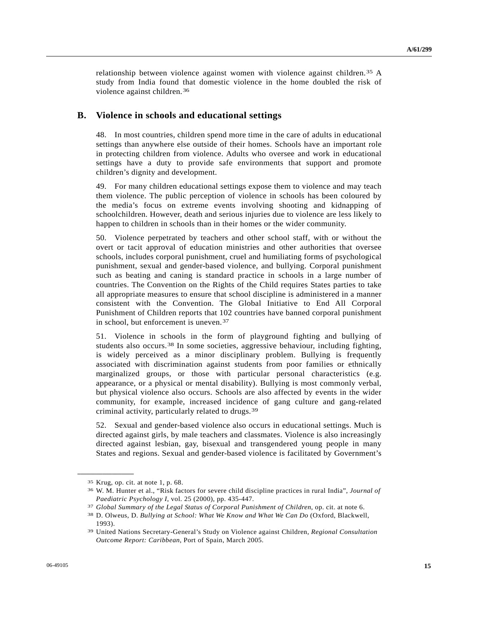relationship between violence against women with violence against children.[35](#page-14-0) A study from India found that domestic violence in the home doubled the risk of violence against children.[3](#page-14-1)6

## **B. Violence in schools and educational settings**

48. In most countries, children spend more time in the care of adults in educational settings than anywhere else outside of their homes. Schools have an important role in protecting children from violence. Adults who oversee and work in educational settings have a duty to provide safe environments that support and promote children's dignity and development.

49. For many children educational settings expose them to violence and may teach them violence. The public perception of violence in schools has been coloured by the media's focus on extreme events involving shooting and kidnapping of schoolchildren. However, death and serious injuries due to violence are less likely to happen to children in schools than in their homes or the wider community.

50. Violence perpetrated by teachers and other school staff, with or without the overt or tacit approval of education ministries and other authorities that oversee schools, includes corporal punishment, cruel and humiliating forms of psychological punishment, sexual and gender-based violence, and bullying. Corporal punishment such as beating and caning is standard practice in schools in a large number of countries. The Convention on the Rights of the Child requires States parties to take all appropriate measures to ensure that school discipline is administered in a manner consistent with the Convention. The Global Initiative to End All Corporal Punishment of Children reports that 102 countries have banned corporal punishment in school, but enforcement is uneven.[3](#page-14-2)7

51. Violence in schools in the form of playground fighting and bullying of students also occurs.[38](#page-14-3) In some societies, aggressive behaviour, including fighting, is widely perceived as a minor disciplinary problem. Bullying is frequently associated with discrimination against students from poor families or ethnically marginalized groups, or those with particular personal characteristics (e.g. appearance, or a physical or mental disability). Bullying is most commonly verbal, but physical violence also occurs. Schools are also affected by events in the wider community, for example, increased incidence of gang culture and gang-related criminal activity, particularly related to drugs.[3](#page-14-4)9

52. Sexual and gender-based violence also occurs in educational settings. Much is directed against girls, by male teachers and classmates. Violence is also increasingly directed against lesbian, gay, bisexual and transgendered young people in many States and regions. Sexual and gender-based violence is facilitated by Government's

<span id="page-14-0"></span><sup>35</sup> Krug, op. cit. at note 1, p. 68.

<span id="page-14-1"></span><sup>36</sup> W. M. Hunter et al., "Risk factors for severe child discipline practices in rural India", *Journal of*  Paediatric Psychology I, vol. 25 (2000), pp. 435-447.<br><sup>37</sup> Global Summary of the Legal Status of Corporal Punishment of Children, op. cit. at note 6.<br><sup>38</sup> D. Olweus, D. Bullying at School: What We Know and What We Can Do (

<span id="page-14-3"></span><span id="page-14-2"></span><sup>1993).</sup> 

<span id="page-14-4"></span><sup>39</sup> United Nations Secretary-General's Study on Violence against Children, *Regional Consultation Outcome Report: Caribbean*, Port of Spain, March 2005.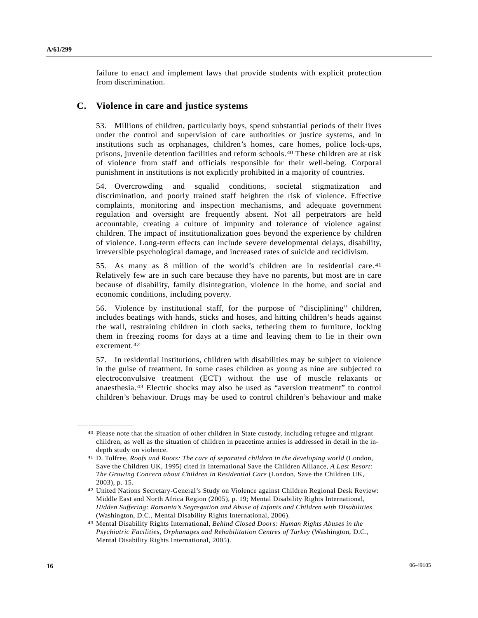failure to enact and implement laws that provide students with explicit protection from discrimination.

### **C. Violence in care and justice systems**

53. Millions of children, particularly boys, spend substantial periods of their lives under the control and supervision of care authorities or justice systems, and in institutions such as orphanages, children's homes, care homes, police lock-ups, prisons, juvenile detention facilities and reform schools.[40](#page-15-0) These children are at risk of violence from staff and officials responsible for their well-being. Corporal punishment in institutions is not explicitly prohibited in a majority of countries.

54. Overcrowding and squalid conditions, societal stigmatization and discrimination, and poorly trained staff heighten the risk of violence. Effective complaints, monitoring and inspection mechanisms, and adequate government regulation and oversight are frequently absent. Not all perpetrators are held accountable, creating a culture of impunity and tolerance of violence against children. The impact of institutionalization goes beyond the experience by children of violence. Long-term effects can include severe developmental delays, disability, irreversible psychological damage, and increased rates of suicide and recidivism.

55. As many as 8 million of the world's children are in residential care.[41](#page-15-1) Relatively few are in such care because they have no parents, but most are in care because of disability, family disintegration, violence in the home, and social and economic conditions, including poverty.

56. Violence by institutional staff, for the purpose of "disciplining" children, includes beatings with hands, sticks and hoses, and hitting children's heads against the wall, restraining children in cloth sacks, tethering them to furniture, locking them in freezing rooms for days at a time and leaving them to lie in their own excrement.[4](#page-15-2)2

57. In residential institutions, children with disabilities may be subject to violence in the guise of treatment. In some cases children as young as nine are subjected to electroconvulsive treatment (ECT) without the use of muscle relaxants or anaesthesia.[43](#page-15-3) Electric shocks may also be used as "aversion treatment" to control children's behaviour. Drugs may be used to control children's behaviour and make

<span id="page-15-0"></span><sup>40</sup> Please note that the situation of other children in State custody, including refugee and migrant children, as well as the situation of children in peacetime armies is addressed in detail in the indepth study on violence.

<span id="page-15-1"></span><sup>41</sup> D. Tolfree, *Roofs and Roots: The care of separated children in the developing world* (London, Save the Children UK, 1995) cited in International Save the Children Alliance, *A Last Resort: The Growing Concern about Children in Residential Care* (London, Save the Children UK, 2003), p. 15.

<span id="page-15-2"></span><sup>42</sup> United Nations Secretary-General's Study on Violence against Children Regional Desk Review: Middle East and North Africa Region (2005), p. 19; Mental Disability Rights International, *Hidden Suffering: Romania's Segregation and Abuse of Infants and Children with Disabilities*. (Washington, D.C., Mental Disability Rights International, 2006).

<span id="page-15-3"></span><sup>43</sup> Mental Disability Rights International, *Behind Closed Doors: Human Rights Abuses in the Psychiatric Facilities, Orphanages and Rehabilitation Centres of Turkey* (Washington, D.C., Mental Disability Rights International, 2005).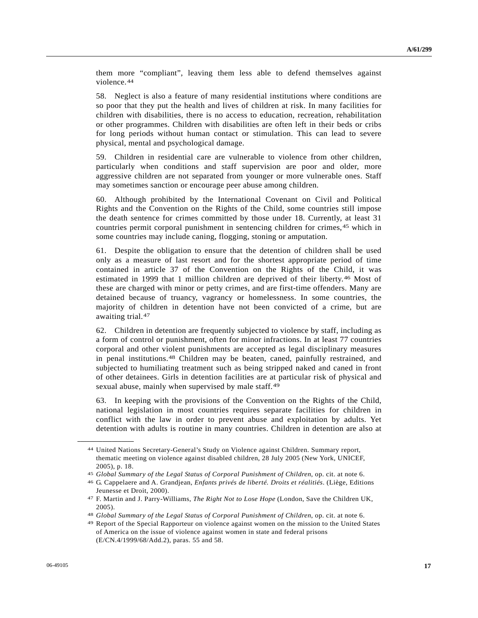them more "compliant", leaving them less able to defend themselves against violence.[4](#page-16-0)4

58. Neglect is also a feature of many residential institutions where conditions are so poor that they put the health and lives of children at risk. In many facilities for children with disabilities, there is no access to education, recreation, rehabilitation or other programmes. Children with disabilities are often left in their beds or cribs for long periods without human contact or stimulation. This can lead to severe physical, mental and psychological damage.

59. Children in residential care are vulnerable to violence from other children, particularly when conditions and staff supervision are poor and older, more aggressive children are not separated from younger or more vulnerable ones. Staff may sometimes sanction or encourage peer abuse among children.

60. Although prohibited by the International Covenant on Civil and Political Rights and the Convention on the Rights of the Child, some countries still impose the death sentence for crimes committed by those under 18. Currently, at least 31 countries permit corporal punishment in sentencing children for crimes,<sup>[4](#page-16-1)5</sup> which in some countries may include caning, flogging, stoning or amputation.

61. Despite the obligation to ensure that the detention of children shall be used only as a measure of last resort and for the shortest appropriate period of time contained in article 37 of the Convention on the Rights of the Child, it was estimated in 1999 that 1 million children are deprived of their liberty.[46](#page-16-2) Most of these are charged with minor or petty crimes, and are first-time offenders. Many are detained because of truancy, vagrancy or homelessness. In some countries, the majority of children in detention have not been convicted of a crime, but are awaiting trial.[47](#page-16-3)

62. Children in detention are frequently subjected to violence by staff, including as a form of control or punishment, often for minor infractions. In at least 77 countries corporal and other violent punishments are accepted as legal disciplinary measures in penal institutions.[4](#page-16-4)8 Children may be beaten, caned, painfully restrained, and subjected to humiliating treatment such as being stripped naked and caned in front of other detainees. Girls in detention facilities are at particular risk of physical and sexual abuse, mainly when supervised by male staff.[4](#page-16-5)9

63. In keeping with the provisions of the Convention on the Rights of the Child, national legislation in most countries requires separate facilities for children in conflict with the law in order to prevent abuse and exploitation by adults. Yet detention with adults is routine in many countries. Children in detention are also at

<span id="page-16-0"></span><sup>44</sup> United Nations Secretary-General's Study on Violence against Children. Summary report, thematic meeting on violence against disabled children, 28 July 2005 (New York, UNICEF, 2005), p. 18.

<span id="page-16-2"></span><span id="page-16-1"></span><sup>45</sup>*Global Summary of the Legal Status of Corporal Punishment of Children*, op. cit. at note 6. 46 G. Cappelaere and A. Grandjean, *Enfants privés de liberté. Droits et réalitiés*. (Liège, Editions

Jeunesse et Droit, 2000).

<span id="page-16-3"></span><sup>47</sup> F. Martin and J. Parry-Williams, *The Right Not to Lose Hope* (London, Save the Children UK, 2005).

<span id="page-16-5"></span><span id="page-16-4"></span><sup>&</sup>lt;sup>48</sup> Global Summary of the Legal Status of Corporal Punishment of Children, op. cit. at note 6.<br><sup>49</sup> Report of the Special Rapporteur on violence against women on the mission to the United States of America on the issue of violence against women in state and federal prisons (E/CN.4/1999/68/Add.2), paras. 55 and 58.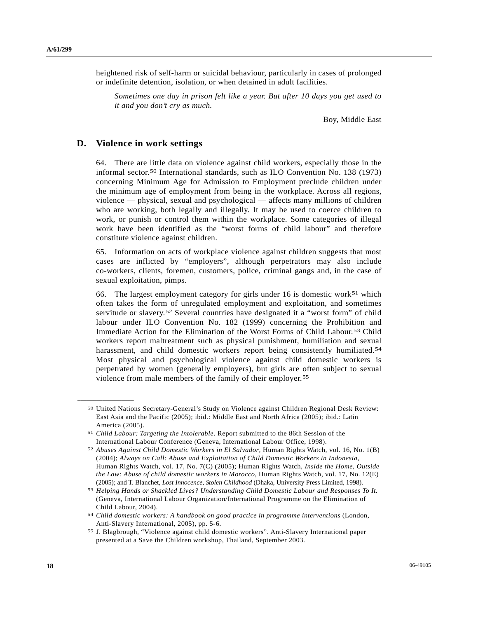heightened risk of self-harm or suicidal behaviour, particularly in cases of prolonged or indefinite detention, isolation, or when detained in adult facilities.

*Sometimes one day in prison felt like a year. But after 10 days you get used to it and you don't cry as much.* 

Boy, Middle East

### **D. Violence in work settings**

<span id="page-17-1"></span><span id="page-17-0"></span>**\_\_\_\_\_\_\_\_\_\_\_\_\_\_\_\_\_\_** 

64. There are little data on violence against child workers, especially those in the informal sector.[5](#page-17-0)0 International standards, such as ILO Convention No. 138 (1973) concerning Minimum Age for Admission to Employment preclude children under the minimum age of employment from being in the workplace. Across all regions, violence — physical, sexual and psychological — affects many millions of children who are working, both legally and illegally. It may be used to coerce children to work, or punish or control them within the workplace. Some categories of illegal work have been identified as the "worst forms of child labour" and therefore constitute violence against children.

65. Information on acts of workplace violence against children suggests that most cases are inflicted by "employers", although perpetrators may also include co-workers, clients, foremen, customers, police, criminal gangs and, in the case of sexual exploitation, pimps.

66. The largest employment category for girls under 16 is domestic work<sup>[5](#page-17-1)1</sup> which often takes the form of unregulated employment and exploitation, and sometimes servitude or slavery.[5](#page-17-2)2 Several countries have designated it a "worst form" of child labour under ILO Convention No. 182 (1999) concerning the Prohibition and Immediate Action for the Elimination of the Worst Forms of Child Labour.[5](#page-17-3)3 Child workers report maltreatment such as physical punishment, humiliation and sexual harassment, and child domestic workers report being consistently humiliated.<sup>[54](#page-17-4)</sup> Most physical and psychological violence against child domestic workers is perpetrated by women (generally employers), but girls are often subject to sexual violence from male members of the family of their employer.[55](#page-17-5)

<sup>50</sup> United Nations Secretary-General's Study on Violence against Children Regional Desk Review: East Asia and the Pacific (2005); ibid.: Middle East and North Africa (2005); ibid.: Latin America (2005).

<sup>51</sup> *Child Labour: Targeting the Intolerable*. Report submitted to the 86th Session of the International Labour Conference (Geneva, International Labour Office, 1998).

<span id="page-17-2"></span><sup>52</sup> *Abuses Against Child Domestic Workers in El Salvador*, Human Rights Watch, vol. 16, No. 1(B) (2004); *Always on Call: Abuse and Exploitation of Child Domestic Workers in Indonesia*, Human Rights Watch, vol. 17, No. 7(C) (2005); Human Rights Watch, *Inside the Home, Outside the Law: Abuse of child domestic workers in Morocco*, Human Rights Watch, vol. 17, No. 12(E) (2005); and T. Blanchet, *Lost Innocence, Stolen Childhood* (Dhaka, University Press Limited, 1998).

<span id="page-17-3"></span><sup>53</sup> *Helping Hands or Shackled Lives? Understanding Child Domestic Labour and Responses To It.* (Geneva, International Labour Organization/International Programme on the Elimination of Child Labour, 2004).

<span id="page-17-4"></span><sup>54</sup> *Child domestic workers: A handbook on good practice in programme interventions* (London, Anti-Slavery International, 2005), pp. 5-6.

<span id="page-17-5"></span><sup>55</sup> J. Blagbrough, "Violence against child domestic workers". Anti-Slavery International paper presented at a Save the Children workshop, Thailand, September 2003.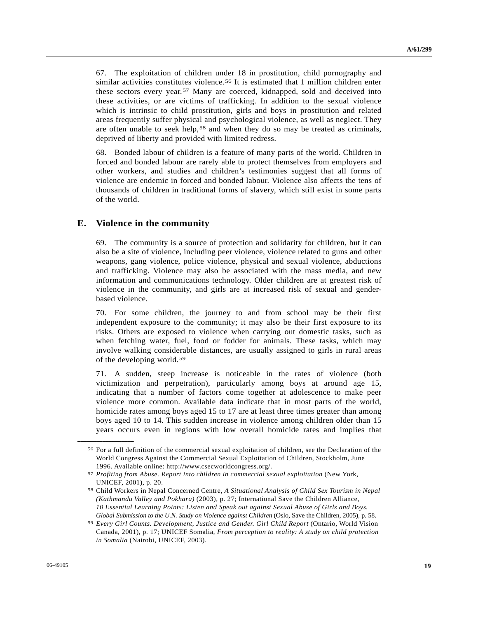67. The exploitation of children under 18 in prostitution, child pornography and similar activities constitutes violence.<sup>[56](#page-18-0)</sup> It is estimated that 1 million children enter these sectors every year.[5](#page-18-1)7 Many are coerced, kidnapped, sold and deceived into these activities, or are victims of trafficking. In addition to the sexual violence which is intrinsic to child prostitution, girls and boys in prostitution and related areas frequently suffer physical and psychological violence, as well as neglect. They are often unable to seek help,[58](#page-18-2) and when they do so may be treated as criminals, deprived of liberty and provided with limited redress.

68. Bonded labour of children is a feature of many parts of the world. Children in forced and bonded labour are rarely able to protect themselves from employers and other workers, and studies and children's testimonies suggest that all forms of violence are endemic in forced and bonded labour. Violence also affects the tens of thousands of children in traditional forms of slavery, which still exist in some parts of the world.

## **E. Violence in the community**

69. The community is a source of protection and solidarity for children, but it can also be a site of violence, including peer violence, violence related to guns and other weapons, gang violence, police violence, physical and sexual violence, abductions and trafficking. Violence may also be associated with the mass media, and new information and communications technology. Older children are at greatest risk of violence in the community, and girls are at increased risk of sexual and genderbased violence.

70. For some children, the journey to and from school may be their first independent exposure to the community; it may also be their first exposure to its risks. Others are exposed to violence when carrying out domestic tasks, such as when fetching water, fuel, food or fodder for animals. These tasks, which may involve walking considerable distances, are usually assigned to girls in rural areas of the developing world.[59](#page-18-3)

71. A sudden, steep increase is noticeable in the rates of violence (both victimization and perpetration), particularly among boys at around age 15, indicating that a number of factors come together at adolescence to make peer violence more common. Available data indicate that in most parts of the world, homicide rates among boys aged 15 to 17 are at least three times greater than among boys aged 10 to 14. This sudden increase in violence among children older than 15 years occurs even in regions with low overall homicide rates and implies that

<span id="page-18-0"></span><sup>56</sup> For a full definition of the commercial sexual exploitation of children, see the Declaration of the World Congress Against the Commercial Sexual Exploitation of Children, Stockholm, June 1996. Available online: http://www.csecworldcongress.org/.

<span id="page-18-1"></span><sup>57</sup> *Profiting from Abuse. Report into children in commercial sexual exploitation* (New York, UNICEF, 2001), p. 20.

<span id="page-18-2"></span><sup>58</sup> Child Workers in Nepal Concerned Centre, *A Situational Analysis of Child Sex Tourism in Nepal (Kathmandu Valley and Pokhara)* (2003), p. 27; International Save the Children Alliance, *10 Essential Learning Points: Listen and Speak out against Sexual Abuse of Girls and Boys. Global Submission to the U.N. Study on Violence against Children* (Oslo, Save the Children, 2005), p. 58.

<span id="page-18-3"></span><sup>59</sup> *Every Girl Counts. Development, Justice and Gender. Girl Child Report* (Ontario, World Vision Canada, 2001), p. 17; UNICEF Somalia, *From perception to reality: A study on child protection in Somalia* (Nairobi, UNICEF, 2003).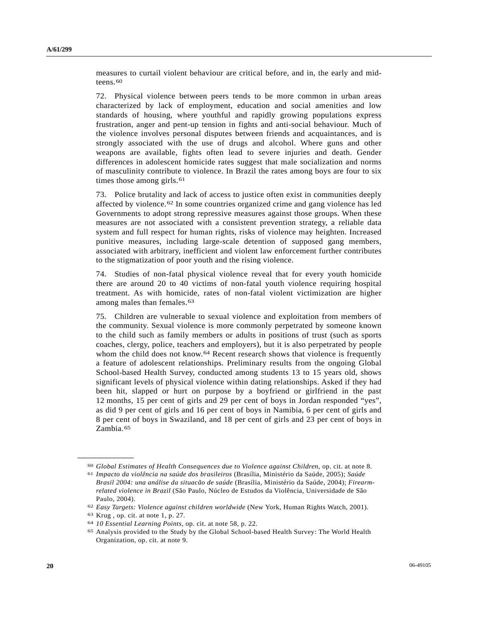measures to curtail violent behaviour are critical before, and in, the early and mid-teens.<sup>[60](#page-19-0)</sup>

72. Physical violence between peers tends to be more common in urban areas characterized by lack of employment, education and social amenities and low standards of housing, where youthful and rapidly growing populations express frustration, anger and pent-up tension in fights and anti-social behaviour. Much of the violence involves personal disputes between friends and acquaintances, and is strongly associated with the use of drugs and alcohol. Where guns and other weapons are available, fights often lead to severe injuries and death. Gender differences in adolescent homicide rates suggest that male socialization and norms of masculinity contribute to violence. In Brazil the rates among boys are four to six times those among girls.<sup>[6](#page-19-1)1</sup>

73. Police brutality and lack of access to justice often exist in communities deeply affected by violence.[6](#page-19-2)2 In some countries organized crime and gang violence has led Governments to adopt strong repressive measures against those groups. When these measures are not associated with a consistent prevention strategy, a reliable data system and full respect for human rights, risks of violence may heighten. Increased punitive measures, including large-scale detention of supposed gang members, associated with arbitrary, inefficient and violent law enforcement further contributes to the stigmatization of poor youth and the rising violence.

74. Studies of non-fatal physical violence reveal that for every youth homicide there are around 20 to 40 victims of non-fatal youth violence requiring hospital treatment. As with homicide, rates of non-fatal violent victimization are higher among males than females.<sup>[63](#page-19-3)</sup>

75. Children are vulnerable to sexual violence and exploitation from members of the community. Sexual violence is more commonly perpetrated by someone known to the child such as family members or adults in positions of trust (such as sports coaches, clergy, police, teachers and employers), but it is also perpetrated by people whom the child does not know.<sup>[64](#page-19-4)</sup> Recent research shows that violence is frequently a feature of adolescent relationships. Preliminary results from the ongoing Global School-based Health Survey, conducted among students 13 to 15 years old, shows significant levels of physical violence within dating relationships. Asked if they had been hit, slapped or hurt on purpose by a boyfriend or girlfriend in the past 12 months, 15 per cent of girls and 29 per cent of boys in Jordan responded "yes", as did 9 per cent of girls and 16 per cent of boys in Namibia, 6 per cent of girls and 8 per cent of boys in Swaziland, and 18 per cent of girls and 23 per cent of boys in Zambia.<sup>[6](#page-19-5)5</sup>

<span id="page-19-1"></span><span id="page-19-0"></span><sup>60</sup>*Global Estimates of Health Consequences due to Violence against Children*, op. cit. at note 8. 61 *Impacto da violência na saúde dos brasileiros* (Brasília, Ministério da Saúde, 2005); *Saúde* 

*Brasil 2004: una análise da situacão de saúde* (Brasília, Ministério da Saúde, 2004); *Firearmrelated violence in Brazil* (São Paulo, Núcleo de Estudos da Violência, Universidade de São Paulo, 2004).

<span id="page-19-3"></span><span id="page-19-2"></span><sup>62</sup>*Easy Targets: Violence against children worldwide* (New York, Human Rights Watch, 2001). 63 Krug , op. cit. at note 1, p. 27.

<span id="page-19-5"></span><span id="page-19-4"></span><sup>&</sup>lt;sup>64</sup> *10 Essential Learning Points*, op. cit. at note 58, p. 22.<br><sup>65</sup> Analysis provided to the Study by the Global School-based Health Survey: The World Health Organization, op. cit. at note 9.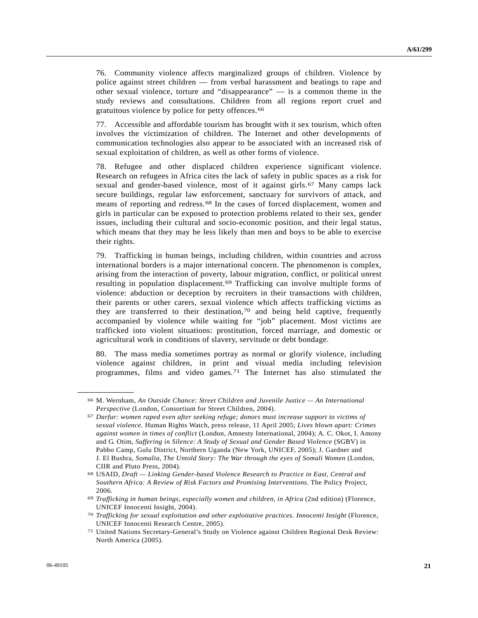76. Community violence affects marginalized groups of children. Violence by police against street children — from verbal harassment and beatings to rape and other sexual violence, torture and "disappearance" — is a common theme in the study reviews and consultations. Children from all regions report cruel and gratuitous violence by police for petty offences.[6](#page-20-0)6

77. Accessible and affordable tourism has brought with it sex tourism, which often involves the victimization of children. The Internet and other developments of communication technologies also appear to be associated with an increased risk of sexual exploitation of children, as well as other forms of violence.

78. Refugee and other displaced children experience significant violence. Research on refugees in Africa cites the lack of safety in public spaces as a risk for sexual and gender-based violence, most of it against girls.[6](#page-20-1)7 Many camps lack secure buildings, regular law enforcement, sanctuary for survivors of attack, and means of reporting and redress.[6](#page-20-2)8 In the cases of forced displacement, women and girls in particular can be exposed to protection problems related to their sex, gender issues, including their cultural and socio-economic position, and their legal status, which means that they may be less likely than men and boys to be able to exercise their rights.

79. Trafficking in human beings, including children, within countries and across international borders is a major international concern. The phenomenon is complex, arising from the interaction of poverty, labour migration, conflict, or political unrest resulting in population displacement.[69](#page-20-3) Trafficking can involve multiple forms of violence: abduction or deception by recruiters in their transactions with children, their parents or other carers, sexual violence which affects trafficking victims as they are transferred to their destination,  $70$  and being held captive, frequently accompanied by violence while waiting for "job" placement. Most victims are trafficked into violent situations: prostitution, forced marriage, and domestic or agricultural work in conditions of slavery, servitude or debt bondage.

80. The mass media sometimes portray as normal or glorify violence, including violence against children, in print and visual media including television programmes, films and video games.[7](#page-20-5)1 The Internet has also stimulated the

<span id="page-20-0"></span><sup>66</sup> M. Wernham, *An Outside Chance: Street Children and Juvenile Justice — An International Perspective* (London, Consortium for Street Children, 2004).

<span id="page-20-1"></span><sup>67</sup> *Darfur: women raped even after seeking refuge; donors must increase support to victims of sexual violence.* Human Rights Watch, press release, 11 April 2005; *Lives blown apart: Crimes against women in times of conflict* (London, Amnesty International, 2004); A. C. Okot, I. Amony and G. Otim, *Suffering in Silence: A Study of Sexual and Gender Based Violence* (SGBV) in Pabbo Camp, Gulu District, Northern Uganda (New York, UNICEF, 2005); J. Gardner and J. El Bushra, *Somalia, The Untold Story: The War through the eyes of Somali Women* (London, CIIR and Pluto Press, 2004).

<span id="page-20-2"></span><sup>68</sup> USAID, *Draft — Linking Gender-based Violence Research to Practice in East, Central and Southern Africa: A Review of Risk Factors and Promising Interventions.* The Policy Project, 2006.

<span id="page-20-3"></span><sup>69</sup> *Trafficking in human beings, especially women and children, in Africa* (2nd edition) (Florence, UNICEF Innocenti Insight, 2004).

<span id="page-20-4"></span><sup>70</sup> *Trafficking for sexual exploitation and other exploitative practices. Innocenti Insight* (Florence, UNICEF Innocenti Research Centre, 2005).

<span id="page-20-5"></span><sup>71</sup> United Nations Secretary-General's Study on Violence against Children Regional Desk Review: North America (2005).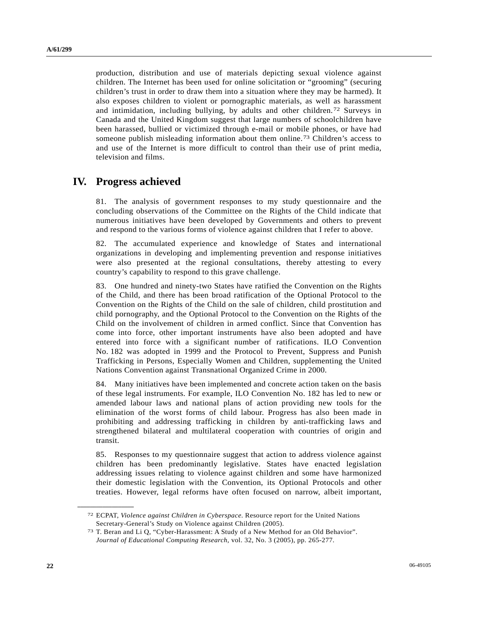production, distribution and use of materials depicting sexual violence against children. The Internet has been used for online solicitation or "grooming" (securing children's trust in order to draw them into a situation where they may be harmed). It also exposes children to violent or pornographic materials, as well as harassment and intimidation, including bullying, by adults and other children.[7](#page-21-0)2 Surveys in Canada and the United Kingdom suggest that large numbers of schoolchildren have been harassed, bullied or victimized through e-mail or mobile phones, or have had someone publish misleading information about them online.[73](#page-21-1) Children's access to and use of the Internet is more difficult to control than their use of print media, television and films.

# **IV. Progress achieved**

81. The analysis of government responses to my study questionnaire and the concluding observations of the Committee on the Rights of the Child indicate that numerous initiatives have been developed by Governments and others to prevent and respond to the various forms of violence against children that I refer to above.

82. The accumulated experience and knowledge of States and international organizations in developing and implementing prevention and response initiatives were also presented at the regional consultations, thereby attesting to every country's capability to respond to this grave challenge.

83. One hundred and ninety-two States have ratified the Convention on the Rights of the Child, and there has been broad ratification of the Optional Protocol to the Convention on the Rights of the Child on the sale of children, child prostitution and child pornography, and the Optional Protocol to the Convention on the Rights of the Child on the involvement of children in armed conflict. Since that Convention has come into force, other important instruments have also been adopted and have entered into force with a significant number of ratifications. ILO Convention No. 182 was adopted in 1999 and the Protocol to Prevent, Suppress and Punish Trafficking in Persons, Especially Women and Children, supplementing the United Nations Convention against Transnational Organized Crime in 2000.

84. Many initiatives have been implemented and concrete action taken on the basis of these legal instruments. For example, ILO Convention No. 182 has led to new or amended labour laws and national plans of action providing new tools for the elimination of the worst forms of child labour. Progress has also been made in prohibiting and addressing trafficking in children by anti-trafficking laws and strengthened bilateral and multilateral cooperation with countries of origin and transit.

85. Responses to my questionnaire suggest that action to address violence against children has been predominantly legislative. States have enacted legislation addressing issues relating to violence against children and some have harmonized their domestic legislation with the Convention, its Optional Protocols and other treaties. However, legal reforms have often focused on narrow, albeit important,

<span id="page-21-0"></span><sup>72</sup> ECPAT, *Violence against Children in Cyberspace*. Resource report for the United Nations Secretary-General's Study on Violence against Children (2005).

<span id="page-21-1"></span><sup>73</sup> T. Beran and Li Q, "Cyber-Harassment: A Study of a New Method for an Old Behavior". *Journal of Educational Computing Research*, vol. 32, No. 3 (2005), pp. 265-277.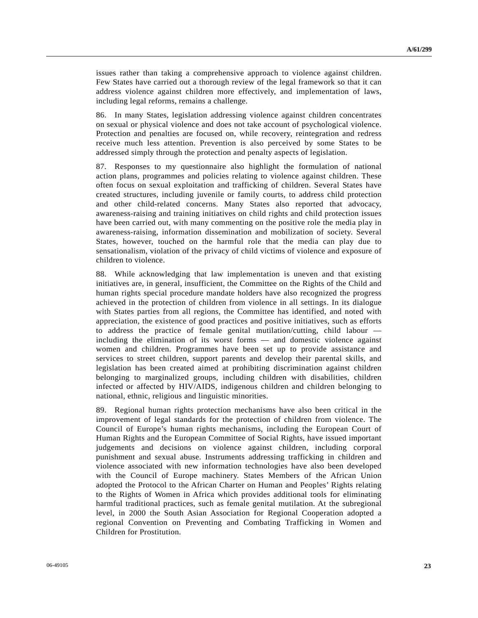issues rather than taking a comprehensive approach to violence against children. Few States have carried out a thorough review of the legal framework so that it can address violence against children more effectively, and implementation of laws, including legal reforms, remains a challenge.

86. In many States, legislation addressing violence against children concentrates on sexual or physical violence and does not take account of psychological violence. Protection and penalties are focused on, while recovery, reintegration and redress receive much less attention. Prevention is also perceived by some States to be addressed simply through the protection and penalty aspects of legislation.

87. Responses to my questionnaire also highlight the formulation of national action plans, programmes and policies relating to violence against children. These often focus on sexual exploitation and trafficking of children. Several States have created structures, including juvenile or family courts, to address child protection and other child-related concerns. Many States also reported that advocacy, awareness-raising and training initiatives on child rights and child protection issues have been carried out, with many commenting on the positive role the media play in awareness-raising, information dissemination and mobilization of society. Several States, however, touched on the harmful role that the media can play due to sensationalism, violation of the privacy of child victims of violence and exposure of children to violence.

88. While acknowledging that law implementation is uneven and that existing initiatives are, in general, insufficient, the Committee on the Rights of the Child and human rights special procedure mandate holders have also recognized the progress achieved in the protection of children from violence in all settings. In its dialogue with States parties from all regions, the Committee has identified, and noted with appreciation, the existence of good practices and positive initiatives, such as efforts to address the practice of female genital mutilation/cutting, child labour including the elimination of its worst forms — and domestic violence against women and children. Programmes have been set up to provide assistance and services to street children, support parents and develop their parental skills, and legislation has been created aimed at prohibiting discrimination against children belonging to marginalized groups, including children with disabilities, children infected or affected by HIV/AIDS, indigenous children and children belonging to national, ethnic, religious and linguistic minorities.

89. Regional human rights protection mechanisms have also been critical in the improvement of legal standards for the protection of children from violence. The Council of Europe's human rights mechanisms, including the European Court of Human Rights and the European Committee of Social Rights, have issued important judgements and decisions on violence against children, including corporal punishment and sexual abuse. Instruments addressing trafficking in children and violence associated with new information technologies have also been developed with the Council of Europe machinery. States Members of the African Union adopted the Protocol to the African Charter on Human and Peoples' Rights relating to the Rights of Women in Africa which provides additional tools for eliminating harmful traditional practices, such as female genital mutilation. At the subregional level, in 2000 the South Asian Association for Regional Cooperation adopted a regional Convention on Preventing and Combating Trafficking in Women and Children for Prostitution.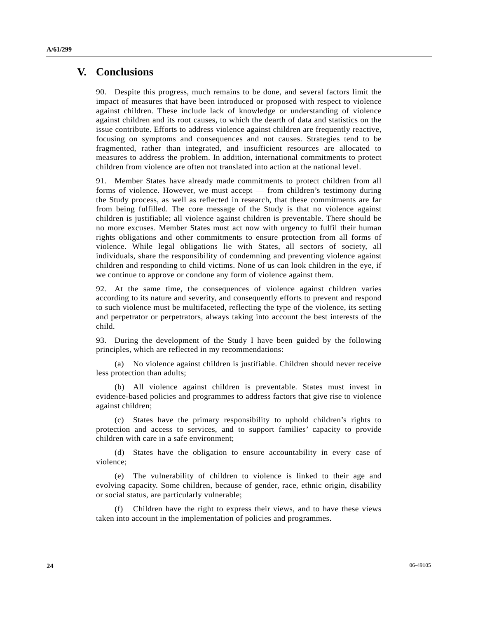# **V. Conclusions**

90. Despite this progress, much remains to be done, and several factors limit the impact of measures that have been introduced or proposed with respect to violence against children. These include lack of knowledge or understanding of violence against children and its root causes, to which the dearth of data and statistics on the issue contribute. Efforts to address violence against children are frequently reactive, focusing on symptoms and consequences and not causes. Strategies tend to be fragmented, rather than integrated, and insufficient resources are allocated to measures to address the problem. In addition, international commitments to protect children from violence are often not translated into action at the national level.

91. Member States have already made commitments to protect children from all forms of violence. However, we must accept — from children's testimony during the Study process, as well as reflected in research, that these commitments are far from being fulfilled. The core message of the Study is that no violence against children is justifiable; all violence against children is preventable. There should be no more excuses. Member States must act now with urgency to fulfil their human rights obligations and other commitments to ensure protection from all forms of violence. While legal obligations lie with States, all sectors of society, all individuals, share the responsibility of condemning and preventing violence against children and responding to child victims. None of us can look children in the eye, if we continue to approve or condone any form of violence against them.

92. At the same time, the consequences of violence against children varies according to its nature and severity, and consequently efforts to prevent and respond to such violence must be multifaceted, reflecting the type of the violence, its setting and perpetrator or perpetrators, always taking into account the best interests of the child.

93. During the development of the Study I have been guided by the following principles, which are reflected in my recommendations:

 (a) No violence against children is justifiable. Children should never receive less protection than adults;

 (b) All violence against children is preventable. States must invest in evidence-based policies and programmes to address factors that give rise to violence against children;

 (c) States have the primary responsibility to uphold children's rights to protection and access to services, and to support families' capacity to provide children with care in a safe environment;

 (d) States have the obligation to ensure accountability in every case of violence;

 (e) The vulnerability of children to violence is linked to their age and evolving capacity. Some children, because of gender, race, ethnic origin, disability or social status, are particularly vulnerable;

 (f) Children have the right to express their views, and to have these views taken into account in the implementation of policies and programmes.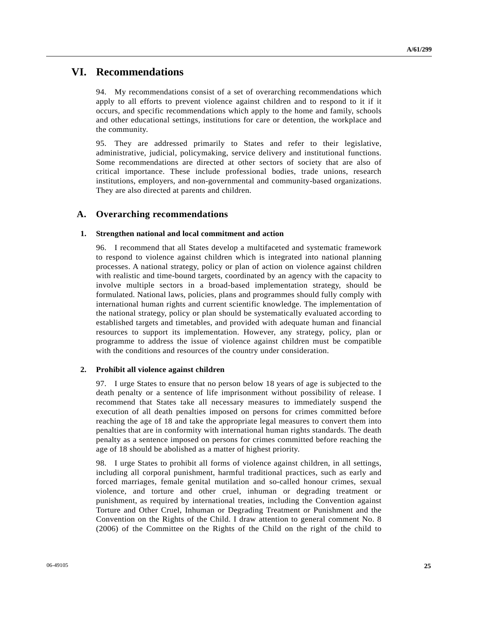# **VI. Recommendations**

94. My recommendations consist of a set of overarching recommendations which apply to all efforts to prevent violence against children and to respond to it if it occurs, and specific recommendations which apply to the home and family, schools and other educational settings, institutions for care or detention, the workplace and the community.

95. They are addressed primarily to States and refer to their legislative, administrative, judicial, policymaking, service delivery and institutional functions. Some recommendations are directed at other sectors of society that are also of critical importance. These include professional bodies, trade unions, research institutions, employers, and non-governmental and community-based organizations. They are also directed at parents and children.

## **A. Overarching recommendations**

#### **1. Strengthen national and local commitment and action**

96. I recommend that all States develop a multifaceted and systematic framework to respond to violence against children which is integrated into national planning processes. A national strategy, policy or plan of action on violence against children with realistic and time-bound targets, coordinated by an agency with the capacity to involve multiple sectors in a broad-based implementation strategy, should be formulated. National laws, policies, plans and programmes should fully comply with international human rights and current scientific knowledge. The implementation of the national strategy, policy or plan should be systematically evaluated according to established targets and timetables, and provided with adequate human and financial resources to support its implementation. However, any strategy, policy, plan or programme to address the issue of violence against children must be compatible with the conditions and resources of the country under consideration.

### **2. Prohibit all violence against children**

97. I urge States to ensure that no person below 18 years of age is subjected to the death penalty or a sentence of life imprisonment without possibility of release. I recommend that States take all necessary measures to immediately suspend the execution of all death penalties imposed on persons for crimes committed before reaching the age of 18 and take the appropriate legal measures to convert them into penalties that are in conformity with international human rights standards. The death penalty as a sentence imposed on persons for crimes committed before reaching the age of 18 should be abolished as a matter of highest priority.

98. I urge States to prohibit all forms of violence against children, in all settings, including all corporal punishment, harmful traditional practices, such as early and forced marriages, female genital mutilation and so-called honour crimes, sexual violence, and torture and other cruel, inhuman or degrading treatment or punishment, as required by international treaties, including the Convention against Torture and Other Cruel, Inhuman or Degrading Treatment or Punishment and the Convention on the Rights of the Child. I draw attention to general comment No. 8 (2006) of the Committee on the Rights of the Child on the right of the child to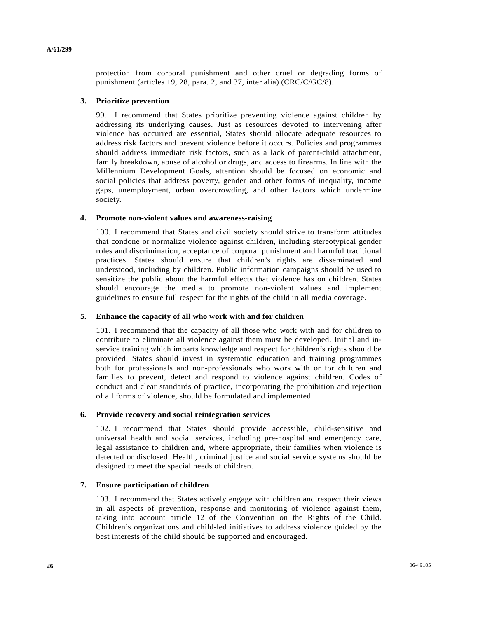protection from corporal punishment and other cruel or degrading forms of punishment (articles 19, 28, para. 2, and 37, inter alia) (CRC/C/GC/8).

#### **3. Prioritize prevention**

99. I recommend that States prioritize preventing violence against children by addressing its underlying causes. Just as resources devoted to intervening after violence has occurred are essential, States should allocate adequate resources to address risk factors and prevent violence before it occurs. Policies and programmes should address immediate risk factors, such as a lack of parent-child attachment, family breakdown, abuse of alcohol or drugs, and access to firearms. In line with the Millennium Development Goals, attention should be focused on economic and social policies that address poverty, gender and other forms of inequality, income gaps, unemployment, urban overcrowding, and other factors which undermine society.

#### **4. Promote non-violent values and awareness-raising**

100. I recommend that States and civil society should strive to transform attitudes that condone or normalize violence against children, including stereotypical gender roles and discrimination, acceptance of corporal punishment and harmful traditional practices. States should ensure that children's rights are disseminated and understood, including by children. Public information campaigns should be used to sensitize the public about the harmful effects that violence has on children. States should encourage the media to promote non-violent values and implement guidelines to ensure full respect for the rights of the child in all media coverage.

#### **5. Enhance the capacity of all who work with and for children**

101. I recommend that the capacity of all those who work with and for children to contribute to eliminate all violence against them must be developed. Initial and inservice training which imparts knowledge and respect for children's rights should be provided. States should invest in systematic education and training programmes both for professionals and non-professionals who work with or for children and families to prevent, detect and respond to violence against children. Codes of conduct and clear standards of practice, incorporating the prohibition and rejection of all forms of violence, should be formulated and implemented.

#### **6. Provide recovery and social reintegration services**

102. I recommend that States should provide accessible, child-sensitive and universal health and social services, including pre-hospital and emergency care, legal assistance to children and, where appropriate, their families when violence is detected or disclosed. Health, criminal justice and social service systems should be designed to meet the special needs of children.

#### **7. Ensure participation of children**

103. I recommend that States actively engage with children and respect their views in all aspects of prevention, response and monitoring of violence against them, taking into account article 12 of the Convention on the Rights of the Child. Children's organizations and child-led initiatives to address violence guided by the best interests of the child should be supported and encouraged.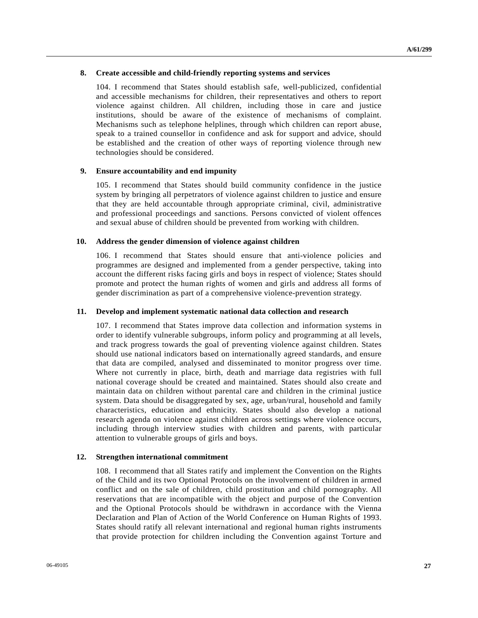#### **8. Create accessible and child-friendly reporting systems and services**

104. I recommend that States should establish safe, well-publicized, confidential and accessible mechanisms for children, their representatives and others to report violence against children. All children, including those in care and justice institutions, should be aware of the existence of mechanisms of complaint. Mechanisms such as telephone helplines, through which children can report abuse, speak to a trained counsellor in confidence and ask for support and advice, should be established and the creation of other ways of reporting violence through new technologies should be considered.

#### **9. Ensure accountability and end impunity**

105. I recommend that States should build community confidence in the justice system by bringing all perpetrators of violence against children to justice and ensure that they are held accountable through appropriate criminal, civil, administrative and professional proceedings and sanctions. Persons convicted of violent offences and sexual abuse of children should be prevented from working with children.

#### **10. Address the gender dimension of violence against children**

106. I recommend that States should ensure that anti-violence policies and programmes are designed and implemented from a gender perspective, taking into account the different risks facing girls and boys in respect of violence; States should promote and protect the human rights of women and girls and address all forms of gender discrimination as part of a comprehensive violence-prevention strategy.

#### **11. Develop and implement systematic national data collection and research**

107. I recommend that States improve data collection and information systems in order to identify vulnerable subgroups, inform policy and programming at all levels, and track progress towards the goal of preventing violence against children. States should use national indicators based on internationally agreed standards, and ensure that data are compiled, analysed and disseminated to monitor progress over time. Where not currently in place, birth, death and marriage data registries with full national coverage should be created and maintained. States should also create and maintain data on children without parental care and children in the criminal justice system. Data should be disaggregated by sex, age, urban/rural, household and family characteristics, education and ethnicity. States should also develop a national research agenda on violence against children across settings where violence occurs, including through interview studies with children and parents, with particular attention to vulnerable groups of girls and boys.

### **12. Strengthen international commitment**

108. I recommend that all States ratify and implement the Convention on the Rights of the Child and its two Optional Protocols on the involvement of children in armed conflict and on the sale of children, child prostitution and child pornography. All reservations that are incompatible with the object and purpose of the Convention and the Optional Protocols should be withdrawn in accordance with the Vienna Declaration and Plan of Action of the World Conference on Human Rights of 1993. States should ratify all relevant international and regional human rights instruments that provide protection for children including the Convention against Torture and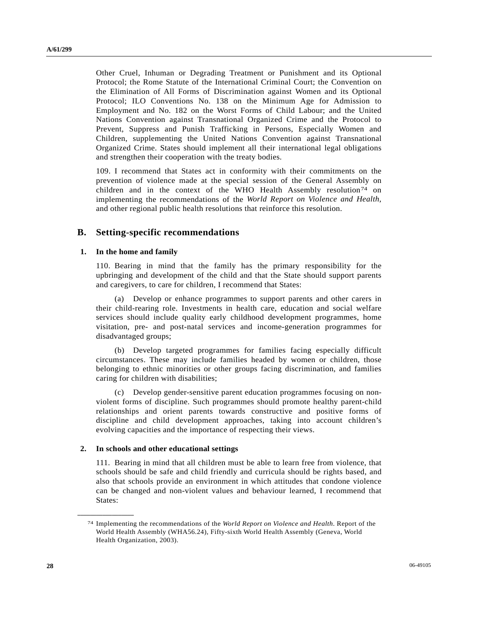Other Cruel, Inhuman or Degrading Treatment or Punishment and its Optional Protocol; the Rome Statute of the International Criminal Court; the Convention on the Elimination of All Forms of Discrimination against Women and its Optional Protocol; ILO Conventions No. 138 on the Minimum Age for Admission to Employment and No. 182 on the Worst Forms of Child Labour; and the United Nations Convention against Transnational Organized Crime and the Protocol to Prevent, Suppress and Punish Trafficking in Persons, Especially Women and Children, supplementing the United Nations Convention against Transnational Organized Crime. States should implement all their international legal obligations and strengthen their cooperation with the treaty bodies.

109. I recommend that States act in conformity with their commitments on the prevention of violence made at the special session of the General Assembly on children and in the context of the WHO Health Assembly resolution<sup>[74](#page-27-0)</sup> on implementing the recommendations of the *World Report on Violence and Health*, and other regional public health resolutions that reinforce this resolution.

### **B. Setting-specific recommendations**

#### **1. In the home and family**

110. Bearing in mind that the family has the primary responsibility for the upbringing and development of the child and that the State should support parents and caregivers, to care for children, I recommend that States:

 (a) Develop or enhance programmes to support parents and other carers in their child-rearing role. Investments in health care, education and social welfare services should include quality early childhood development programmes, home visitation, pre- and post-natal services and income-generation programmes for disadvantaged groups;

 (b) Develop targeted programmes for families facing especially difficult circumstances. These may include families headed by women or children, those belonging to ethnic minorities or other groups facing discrimination, and families caring for children with disabilities;

 (c) Develop gender-sensitive parent education programmes focusing on nonviolent forms of discipline. Such programmes should promote healthy parent-child relationships and orient parents towards constructive and positive forms of discipline and child development approaches, taking into account children's evolving capacities and the importance of respecting their views.

#### **2. In schools and other educational settings**

<span id="page-27-0"></span>**\_\_\_\_\_\_\_\_\_\_\_\_\_\_\_\_\_\_** 

111. Bearing in mind that all children must be able to learn free from violence, that schools should be safe and child friendly and curricula should be rights based, and also that schools provide an environment in which attitudes that condone violence can be changed and non-violent values and behaviour learned, I recommend that States:

<sup>74</sup> Implementing the recommendations of the *World Report on Violence and Health*. Report of the World Health Assembly (WHA56.24), Fifty-sixth World Health Assembly (Geneva, World Health Organization, 2003).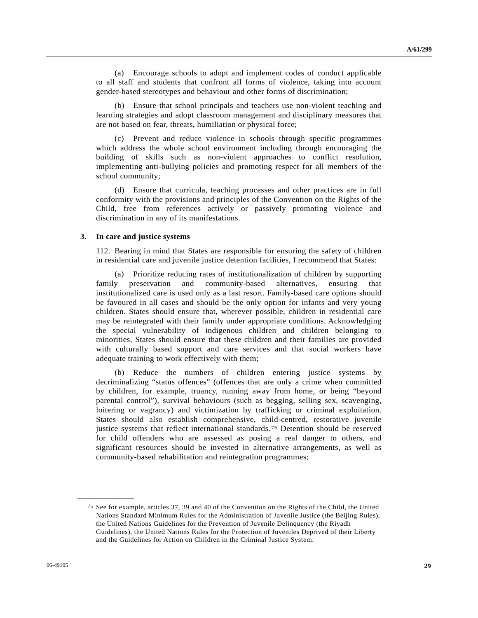(a) Encourage schools to adopt and implement codes of conduct applicable to all staff and students that confront all forms of violence, taking into account gender-based stereotypes and behaviour and other forms of discrimination;

 (b) Ensure that school principals and teachers use non-violent teaching and learning strategies and adopt classroom management and disciplinary measures that are not based on fear, threats, humiliation or physical force;

 (c) Prevent and reduce violence in schools through specific programmes which address the whole school environment including through encouraging the building of skills such as non-violent approaches to conflict resolution, implementing anti-bullying policies and promoting respect for all members of the school community;

 (d) Ensure that curricula, teaching processes and other practices are in full conformity with the provisions and principles of the Convention on the Rights of the Child, free from references actively or passively promoting violence and discrimination in any of its manifestations.

#### **3. In care and justice systems**

112. Bearing in mind that States are responsible for ensuring the safety of children in residential care and juvenile justice detention facilities, I recommend that States:

 (a) Prioritize reducing rates of institutionalization of children by supporting family preservation and community-based alternatives, ensuring that institutionalized care is used only as a last resort. Family-based care options should be favoured in all cases and should be the only option for infants and very young children. States should ensure that, wherever possible, children in residential care may be reintegrated with their family under appropriate conditions. Acknowledging the special vulnerability of indigenous children and children belonging to minorities, States should ensure that these children and their families are provided with culturally based support and care services and that social workers have adequate training to work effectively with them;

 (b) Reduce the numbers of children entering justice systems by decriminalizing "status offences" (offences that are only a crime when committed by children, for example, truancy, running away from home, or being "beyond parental control"), survival behaviours (such as begging, selling sex, scavenging, loitering or vagrancy) and victimization by trafficking or criminal exploitation. States should also establish comprehensive, child-centred, restorative juvenile justice systems that reflect international standards.[7](#page-28-0)5 Detention should be reserved for child offenders who are assessed as posing a real danger to others, and significant resources should be invested in alternative arrangements, as well as community-based rehabilitation and reintegration programmes;

<span id="page-28-0"></span><sup>75</sup> See for example, articles 37, 39 and 40 of the Convention on the Rights of the Child, the United Nations Standard Minimum Rules for the Administration of Juvenile Justice (the Beijing Rules), the United Nations Guidelines for the Prevention of Juvenile Delinquency (the Riyadh Guidelines), the United Nations Rules for the Protection of Juveniles Deprived of their Liberty and the Guidelines for Action on Children in the Criminal Justice System.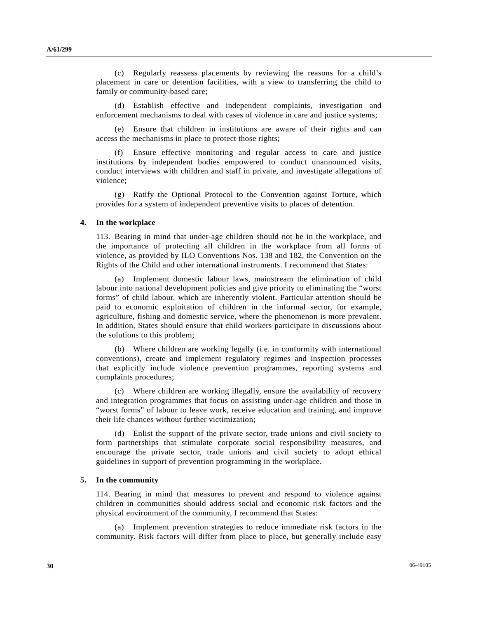(c) Regularly reassess placements by reviewing the reasons for a child's placement in care or detention facilities, with a view to transferring the child to family or community-based care;

 (d) Establish effective and independent complaints, investigation and enforcement mechanisms to deal with cases of violence in care and justice systems;

 (e) Ensure that children in institutions are aware of their rights and can access the mechanisms in place to protect those rights;

 (f) Ensure effective monitoring and regular access to care and justice institutions by independent bodies empowered to conduct unannounced visits, conduct interviews with children and staff in private, and investigate allegations of violence;

 (g) Ratify the Optional Protocol to the Convention against Torture, which provides for a system of independent preventive visits to places of detention.

#### **4. In the workplace**

113. Bearing in mind that under-age children should not be in the workplace, and the importance of protecting all children in the workplace from all forms of violence, as provided by ILO Conventions Nos. 138 and 182, the Convention on the Rights of the Child and other international instruments. I recommend that States:

 (a) Implement domestic labour laws, mainstream the elimination of child labour into national development policies and give priority to eliminating the "worst forms" of child labour, which are inherently violent. Particular attention should be paid to economic exploitation of children in the informal sector, for example, agriculture, fishing and domestic service, where the phenomenon is more prevalent. In addition, States should ensure that child workers participate in discussions about the solutions to this problem;

 (b) Where children are working legally (i.e. in conformity with international conventions), create and implement regulatory regimes and inspection processes that explicitly include violence prevention programmes, reporting systems and complaints procedures;

 (c) Where children are working illegally, ensure the availability of recovery and integration programmes that focus on assisting under-age children and those in "worst forms" of labour to leave work, receive education and training, and improve their life chances without further victimization;

 (d) Enlist the support of the private sector, trade unions and civil society to form partnerships that stimulate corporate social responsibility measures, and encourage the private sector, trade unions and civil society to adopt ethical guidelines in support of prevention programming in the workplace.

#### **5. In the community**

114. Bearing in mind that measures to prevent and respond to violence against children in communities should address social and economic risk factors and the physical environment of the community, I recommend that States:

 (a) Implement prevention strategies to reduce immediate risk factors in the community. Risk factors will differ from place to place, but generally include easy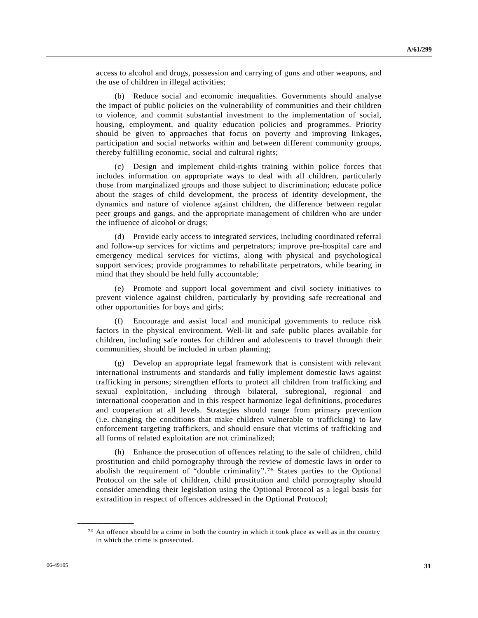access to alcohol and drugs, possession and carrying of guns and other weapons, and the use of children in illegal activities;

 (b) Reduce social and economic inequalities. Governments should analyse the impact of public policies on the vulnerability of communities and their children to violence, and commit substantial investment to the implementation of social, housing, employment, and quality education policies and programmes. Priority should be given to approaches that focus on poverty and improving linkages, participation and social networks within and between different community groups, thereby fulfilling economic, social and cultural rights;

 (c) Design and implement child-rights training within police forces that includes information on appropriate ways to deal with all children, particularly those from marginalized groups and those subject to discrimination; educate police about the stages of child development, the process of identity development, the dynamics and nature of violence against children, the difference between regular peer groups and gangs, and the appropriate management of children who are under the influence of alcohol or drugs;

 (d) Provide early access to integrated services, including coordinated referral and follow-up services for victims and perpetrators; improve pre-hospital care and emergency medical services for victims, along with physical and psychological support services; provide programmes to rehabilitate perpetrators, while bearing in mind that they should be held fully accountable;

 (e) Promote and support local government and civil society initiatives to prevent violence against children, particularly by providing safe recreational and other opportunities for boys and girls;

Encourage and assist local and municipal governments to reduce risk factors in the physical environment. Well-lit and safe public places available for children, including safe routes for children and adolescents to travel through their communities, should be included in urban planning;

 (g) Develop an appropriate legal framework that is consistent with relevant international instruments and standards and fully implement domestic laws against trafficking in persons; strengthen efforts to protect all children from trafficking and sexual exploitation, including through bilateral, subregional, regional and international cooperation and in this respect harmonize legal definitions, procedures and cooperation at all levels. Strategies should range from primary prevention (i.e. changing the conditions that make children vulnerable to trafficking) to law enforcement targeting traffickers, and should ensure that victims of trafficking and all forms of related exploitation are not criminalized;

 (h) Enhance the prosecution of offences relating to the sale of children, child prostitution and child pornography through the review of domestic laws in order to abolish the requirement of "double criminality".[7](#page-30-0)6 States parties to the Optional Protocol on the sale of children, child prostitution and child pornography should consider amending their legislation using the Optional Protocol as a legal basis for extradition in respect of offences addressed in the Optional Protocol;

<span id="page-30-0"></span><sup>76</sup> An offence should be a crime in both the country in which it took place as well as in the country in which the crime is prosecuted.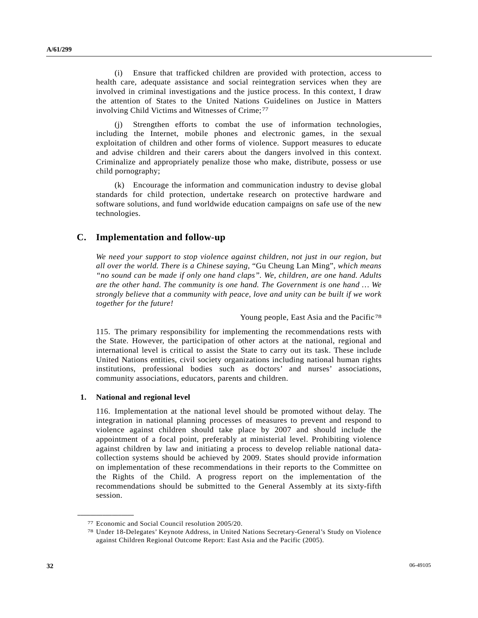(i) Ensure that trafficked children are provided with protection, access to health care, adequate assistance and social reintegration services when they are involved in criminal investigations and the justice process. In this context, I draw the attention of States to the United Nations Guidelines on Justice in Matters involving Child Victims and Witnesses of Crime;<sup>[77](#page-31-0)</sup>

 (j) Strengthen efforts to combat the use of information technologies, including the Internet, mobile phones and electronic games, in the sexual exploitation of children and other forms of violence. Support measures to educate and advise children and their carers about the dangers involved in this context. Criminalize and appropriately penalize those who make, distribute, possess or use child pornography;

 (k) Encourage the information and communication industry to devise global standards for child protection, undertake research on protective hardware and software solutions, and fund worldwide education campaigns on safe use of the new technologies.

## **C. Implementation and follow-up**

*We need your support to stop violence against children, not just in our region, but all over the world. There is a Chinese saying,* "Gu Cheung Lan Ming", *which means "no sound can be made if only one hand claps". We, children, are one hand. Adults are the other hand. The community is one hand. The Government is one hand … We strongly believe that a community with peace, love and unity can be built if we work together for the future!*

Young people, East Asia and the Pacific<sup>[78](#page-31-1)</sup>

115. The primary responsibility for implementing the recommendations rests with the State. However, the participation of other actors at the national, regional and international level is critical to assist the State to carry out its task. These include United Nations entities, civil society organizations including national human rights institutions, professional bodies such as doctors' and nurses' associations, community associations, educators, parents and children.

#### **1. National and regional level**

<span id="page-31-1"></span><span id="page-31-0"></span>**\_\_\_\_\_\_\_\_\_\_\_\_\_\_\_\_\_\_** 

116. Implementation at the national level should be promoted without delay. The integration in national planning processes of measures to prevent and respond to violence against children should take place by 2007 and should include the appointment of a focal point, preferably at ministerial level. Prohibiting violence against children by law and initiating a process to develop reliable national datacollection systems should be achieved by 2009. States should provide information on implementation of these recommendations in their reports to the Committee on the Rights of the Child. A progress report on the implementation of the recommendations should be submitted to the General Assembly at its sixty-fifth session.

<sup>77</sup> Economic and Social Council resolution 2005/20. 78 Under 18-Delegates' Keynote Address, in United Nations Secretary-General's Study on Violence against Children Regional Outcome Report: East Asia and the Pacific (2005).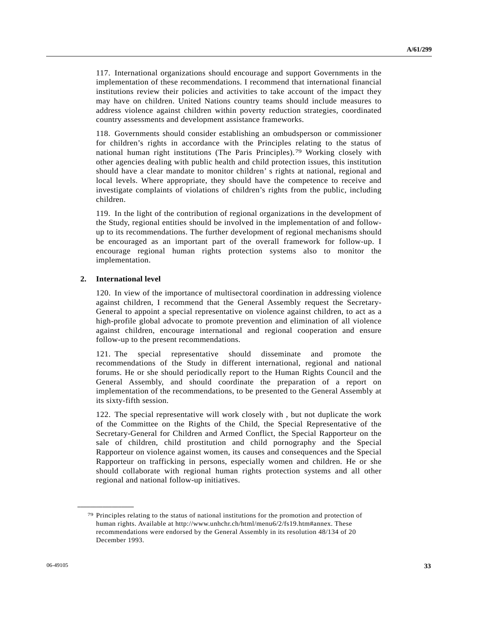117. International organizations should encourage and support Governments in the implementation of these recommendations. I recommend that international financial institutions review their policies and activities to take account of the impact they may have on children. United Nations country teams should include measures to address violence against children within poverty reduction strategies, coordinated country assessments and development assistance frameworks.

118. Governments should consider establishing an ombudsperson or commissioner for children's rights in accordance with the Principles relating to the status of national human right institutions (The Paris Principles).[7](#page-32-0)9 Working closely with other agencies dealing with public health and child protection issues, this institution should have a clear mandate to monitor children' s rights at national, regional and local levels. Where appropriate, they should have the competence to receive and investigate complaints of violations of children's rights from the public, including children.

119. In the light of the contribution of regional organizations in the development of the Study, regional entities should be involved in the implementation of and followup to its recommendations. The further development of regional mechanisms should be encouraged as an important part of the overall framework for follow-up. I encourage regional human rights protection systems also to monitor the implementation.

#### **2. International level**

<span id="page-32-0"></span>**\_\_\_\_\_\_\_\_\_\_\_\_\_\_\_\_\_\_** 

120. In view of the importance of multisectoral coordination in addressing violence against children, I recommend that the General Assembly request the Secretary-General to appoint a special representative on violence against children, to act as a high-profile global advocate to promote prevention and elimination of all violence against children, encourage international and regional cooperation and ensure follow-up to the present recommendations.

121. The special representative should disseminate and promote the recommendations of the Study in different international, regional and national forums. He or she should periodically report to the Human Rights Council and the General Assembly, and should coordinate the preparation of a report on implementation of the recommendations, to be presented to the General Assembly at its sixty-fifth session.

122. The special representative will work closely with , but not duplicate the work of the Committee on the Rights of the Child, the Special Representative of the Secretary-General for Children and Armed Conflict, the Special Rapporteur on the sale of children, child prostitution and child pornography and the Special Rapporteur on violence against women, its causes and consequences and the Special Rapporteur on trafficking in persons, especially women and children. He or she should collaborate with regional human rights protection systems and all other regional and national follow-up initiatives.

<sup>79</sup> Principles relating to the status of national institutions for the promotion and protection of human rights. Available at http://www.unhchr.ch/html/menu6/2/fs19.htm#annex. These recommendations were endorsed by the General Assembly in its resolution 48/134 of 20 December 1993.